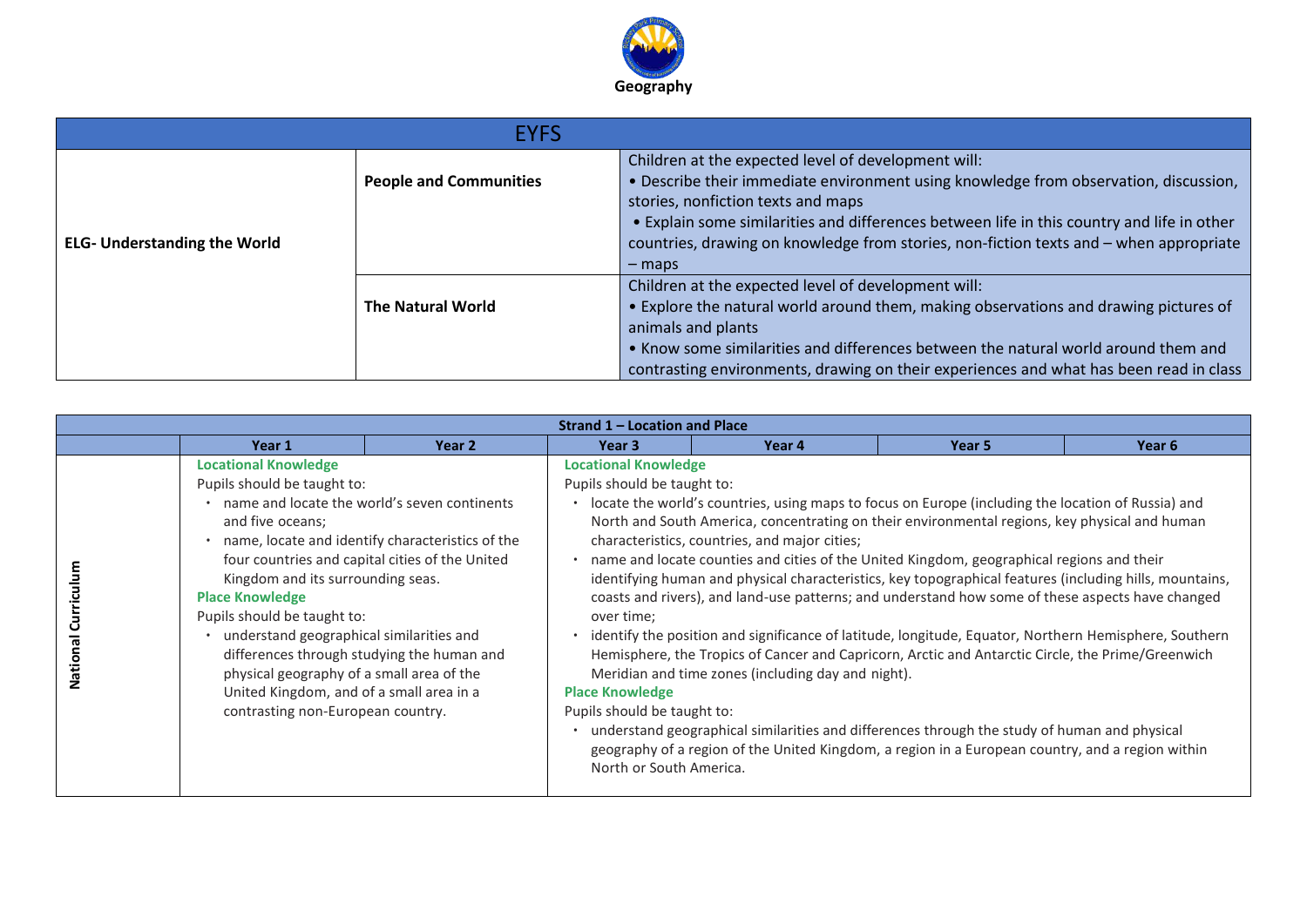

|                                     | <b>EYFS</b>                   |                                                                                                                                                                                                                                                                                                                                                                                       |
|-------------------------------------|-------------------------------|---------------------------------------------------------------------------------------------------------------------------------------------------------------------------------------------------------------------------------------------------------------------------------------------------------------------------------------------------------------------------------------|
| <b>ELG- Understanding the World</b> | <b>People and Communities</b> | Children at the expected level of development will:<br>. Describe their immediate environment using knowledge from observation, discussion,<br>stories, nonfiction texts and maps<br>. Explain some similarities and differences between life in this country and life in other<br>countries, drawing on knowledge from stories, non-fiction texts and – when appropriate<br>$-$ maps |
|                                     | <b>The Natural World</b>      | Children at the expected level of development will:<br>• Explore the natural world around them, making observations and drawing pictures of<br>animals and plants<br>• Know some similarities and differences between the natural world around them and<br>contrasting environments, drawing on their experiences and what has been read in class                                     |

|                          |                                                                                                                                                                                                                                                                                                                                                        |                                                                                                                                                                                                   | Strand 1 – Location and Place                                                                                                                                |                                                                                                                                                                                                                                                                                                                                                                                                                                                                                                                                                                                                                                                                                                                                                                                                                                                                                                                                                                                                                                          |        |        |  |
|--------------------------|--------------------------------------------------------------------------------------------------------------------------------------------------------------------------------------------------------------------------------------------------------------------------------------------------------------------------------------------------------|---------------------------------------------------------------------------------------------------------------------------------------------------------------------------------------------------|--------------------------------------------------------------------------------------------------------------------------------------------------------------|------------------------------------------------------------------------------------------------------------------------------------------------------------------------------------------------------------------------------------------------------------------------------------------------------------------------------------------------------------------------------------------------------------------------------------------------------------------------------------------------------------------------------------------------------------------------------------------------------------------------------------------------------------------------------------------------------------------------------------------------------------------------------------------------------------------------------------------------------------------------------------------------------------------------------------------------------------------------------------------------------------------------------------------|--------|--------|--|
|                          | Year 1                                                                                                                                                                                                                                                                                                                                                 | Year 2                                                                                                                                                                                            | Year 3                                                                                                                                                       | Year 4                                                                                                                                                                                                                                                                                                                                                                                                                                                                                                                                                                                                                                                                                                                                                                                                                                                                                                                                                                                                                                   | Year 5 | Year 6 |  |
| Curricu<br><b>Nation</b> | <b>Locational Knowledge</b><br>Pupils should be taught to:<br>and five oceans;<br>Kingdom and its surrounding seas.<br><b>Place Knowledge</b><br>Pupils should be taught to:<br>understand geographical similarities and<br>physical geography of a small area of the<br>United Kingdom, and of a small area in a<br>contrasting non-European country. | name and locate the world's seven continents<br>name, locate and identify characteristics of the<br>four countries and capital cities of the United<br>differences through studying the human and | <b>Locational Knowledge</b><br>Pupils should be taught to:<br>over time;<br><b>Place Knowledge</b><br>Pupils should be taught to:<br>North or South America. | locate the world's countries, using maps to focus on Europe (including the location of Russia) and<br>North and South America, concentrating on their environmental regions, key physical and human<br>characteristics, countries, and major cities;<br>name and locate counties and cities of the United Kingdom, geographical regions and their<br>identifying human and physical characteristics, key topographical features (including hills, mountains,<br>coasts and rivers), and land-use patterns; and understand how some of these aspects have changed<br>identify the position and significance of latitude, longitude, Equator, Northern Hemisphere, Southern<br>Hemisphere, the Tropics of Cancer and Capricorn, Arctic and Antarctic Circle, the Prime/Greenwich<br>Meridian and time zones (including day and night).<br>understand geographical similarities and differences through the study of human and physical<br>geography of a region of the United Kingdom, a region in a European country, and a region within |        |        |  |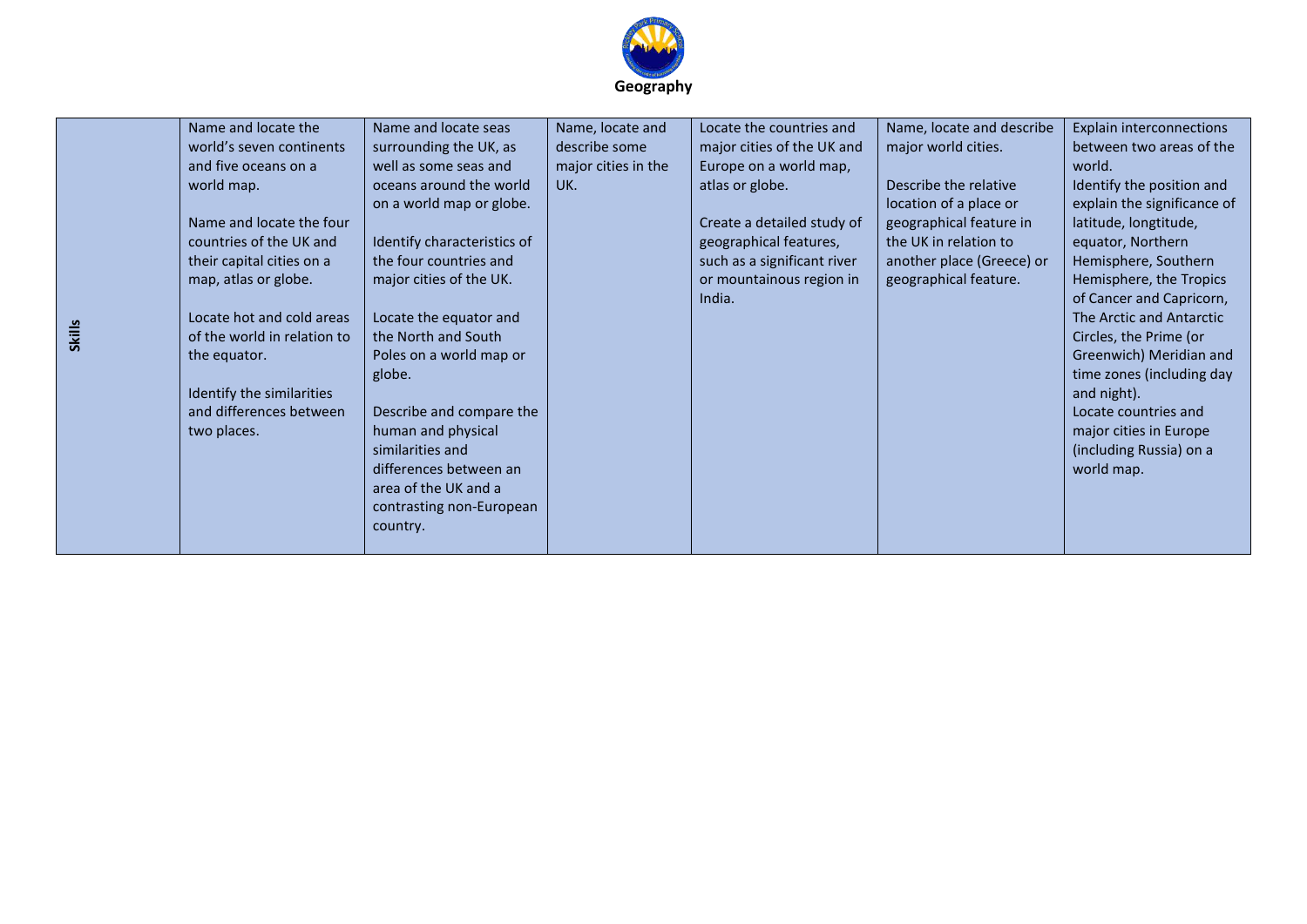

| <b>Skills</b> | Name and locate the<br>world's seven continents<br>and five oceans on a<br>world map.<br>Name and locate the four<br>countries of the UK and<br>their capital cities on a<br>map, atlas or globe.<br>Locate hot and cold areas<br>of the world in relation to<br>the equator.<br>Identify the similarities<br>and differences between<br>two places. | Name and locate seas<br>surrounding the UK, as<br>well as some seas and<br>oceans around the world<br>on a world map or globe.<br>Identify characteristics of<br>the four countries and<br>major cities of the UK.<br>Locate the equator and<br>the North and South<br>Poles on a world map or<br>globe.<br>Describe and compare the<br>human and physical<br>similarities and<br>differences between an<br>area of the UK and a<br>contrasting non-European<br>country. | Name, locate and<br>describe some<br>major cities in the<br>UK. | Locate the countries and<br>major cities of the UK and<br>Europe on a world map,<br>atlas or globe.<br>Create a detailed study of<br>geographical features,<br>such as a significant river<br>or mountainous region in<br>India. | Name, locate and describe<br>major world cities.<br>Describe the relative<br>location of a place or<br>geographical feature in<br>the UK in relation to<br>another place (Greece) or<br>geographical feature. | Explain interconnections<br>between two areas of the<br>world.<br>Identify the position and<br>explain the significance of<br>latitude, longtitude,<br>equator, Northern<br>Hemisphere, Southern<br>Hemisphere, the Tropics<br>of Cancer and Capricorn,<br>The Arctic and Antarctic<br>Circles, the Prime (or<br>Greenwich) Meridian and<br>time zones (including day<br>and night).<br>Locate countries and<br>major cities in Europe<br>(including Russia) on a<br>world map. |
|---------------|------------------------------------------------------------------------------------------------------------------------------------------------------------------------------------------------------------------------------------------------------------------------------------------------------------------------------------------------------|--------------------------------------------------------------------------------------------------------------------------------------------------------------------------------------------------------------------------------------------------------------------------------------------------------------------------------------------------------------------------------------------------------------------------------------------------------------------------|-----------------------------------------------------------------|----------------------------------------------------------------------------------------------------------------------------------------------------------------------------------------------------------------------------------|---------------------------------------------------------------------------------------------------------------------------------------------------------------------------------------------------------------|---------------------------------------------------------------------------------------------------------------------------------------------------------------------------------------------------------------------------------------------------------------------------------------------------------------------------------------------------------------------------------------------------------------------------------------------------------------------------------|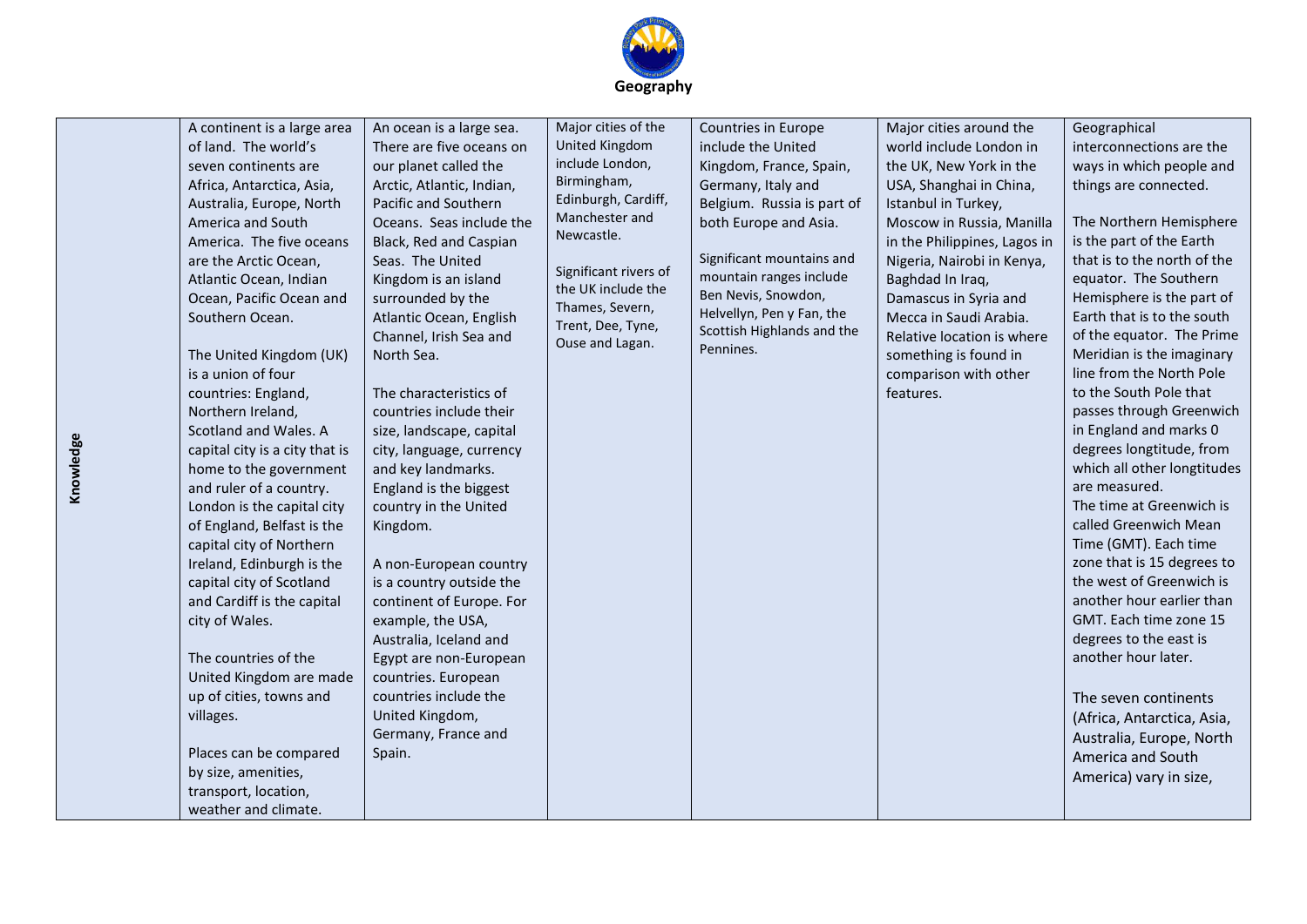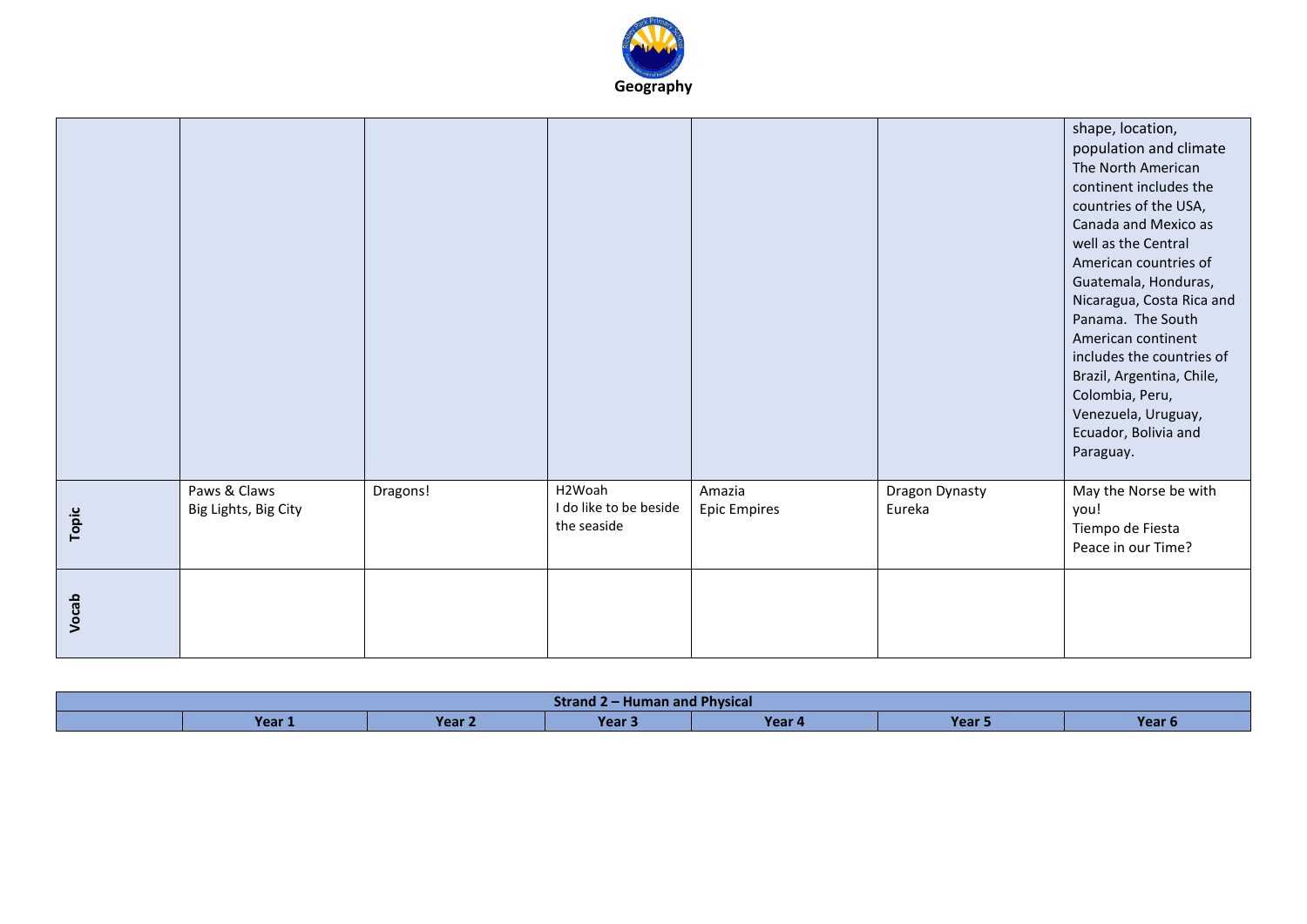

|       |                                      |          |                                                 |                               |                          | shape, location,<br>population and climate<br>The North American<br>continent includes the<br>countries of the USA,<br>Canada and Mexico as<br>well as the Central<br>American countries of<br>Guatemala, Honduras,<br>Nicaragua, Costa Rica and<br>Panama. The South<br>American continent<br>includes the countries of<br>Brazil, Argentina, Chile,<br>Colombia, Peru,<br>Venezuela, Uruguay,<br>Ecuador, Bolivia and<br>Paraguay. |
|-------|--------------------------------------|----------|-------------------------------------------------|-------------------------------|--------------------------|--------------------------------------------------------------------------------------------------------------------------------------------------------------------------------------------------------------------------------------------------------------------------------------------------------------------------------------------------------------------------------------------------------------------------------------|
| Topic | Paws & Claws<br>Big Lights, Big City | Dragons! | H2Woah<br>I do like to be beside<br>the seaside | Amazia<br><b>Epic Empires</b> | Dragon Dynasty<br>Eureka | May the Norse be with<br>you!<br>Tiempo de Fiesta<br>Peace in our Time?                                                                                                                                                                                                                                                                                                                                                              |
| Vocab |                                      |          |                                                 |                               |                          |                                                                                                                                                                                                                                                                                                                                                                                                                                      |

| .<br><b>Human and Physical</b><br>Strand 7 |        |        |       |        |      |                   |  |
|--------------------------------------------|--------|--------|-------|--------|------|-------------------|--|
|                                            | Year 1 | Year 2 | Year. | Year 4 | Year | Year <sub>6</sub> |  |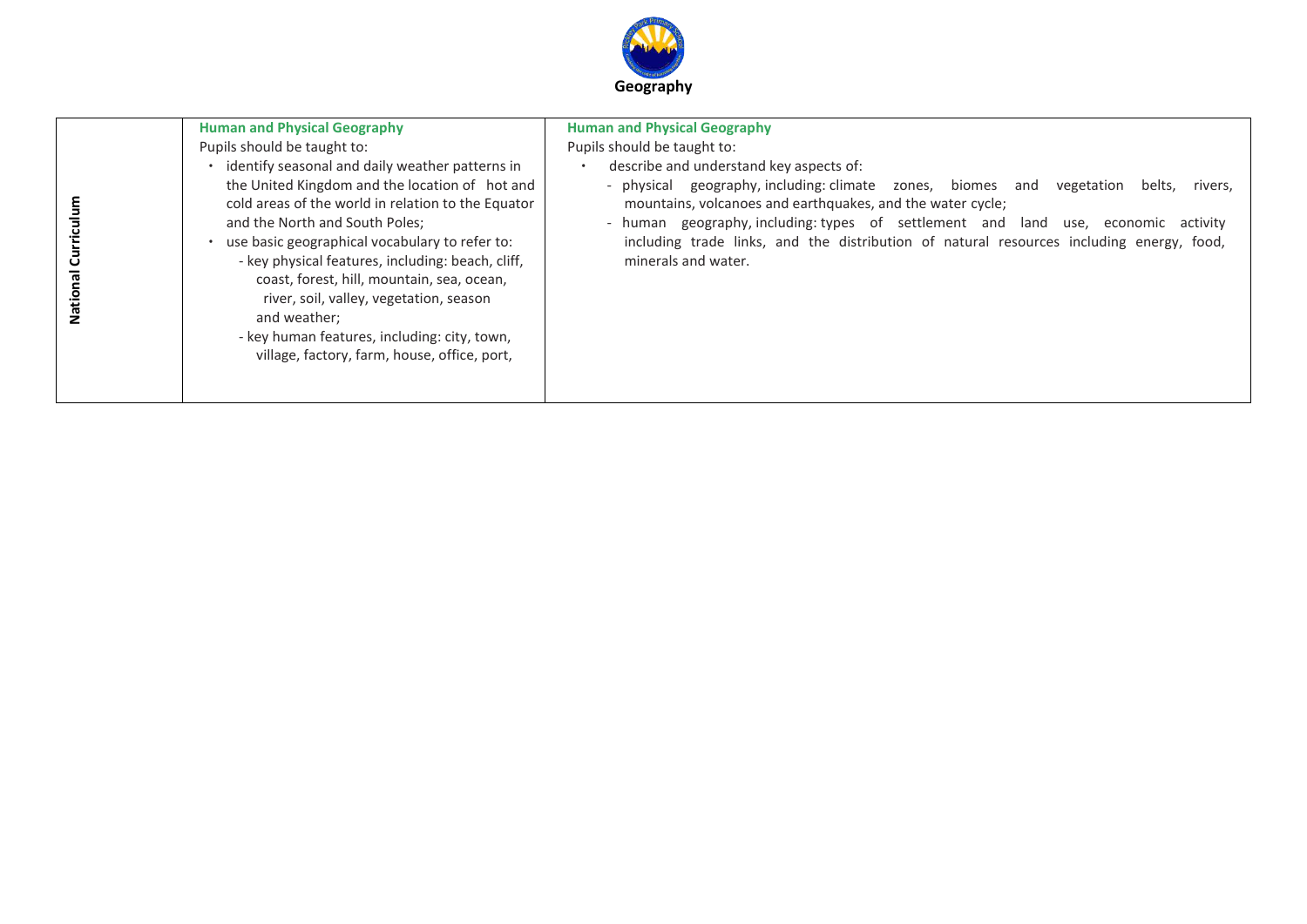

| ပ<br>Natio | <b>Human and Physical Geography</b><br>Pupils should be taught to:<br>identify seasonal and daily weather patterns in<br>the United Kingdom and the location of hot and<br>cold areas of the world in relation to the Equator<br>and the North and South Poles;<br>use basic geographical vocabulary to refer to:<br>- key physical features, including: beach, cliff,<br>coast, forest, hill, mountain, sea, ocean,<br>river, soil, valley, vegetation, season<br>and weather;<br>- key human features, including: city, town,<br>village, factory, farm, house, office, port, | <b>Human and Physical Geography</b><br>Pupils should be taught to:<br>describe and understand key aspects of:<br>- physical geography, including: climate zones, biomes and vegetation<br>belts, rivers,<br>mountains, volcanoes and earthquakes, and the water cycle;<br>- human geography, including: types of settlement and land use, economic activity<br>including trade links, and the distribution of natural resources including energy, food,<br>minerals and water. |
|------------|---------------------------------------------------------------------------------------------------------------------------------------------------------------------------------------------------------------------------------------------------------------------------------------------------------------------------------------------------------------------------------------------------------------------------------------------------------------------------------------------------------------------------------------------------------------------------------|--------------------------------------------------------------------------------------------------------------------------------------------------------------------------------------------------------------------------------------------------------------------------------------------------------------------------------------------------------------------------------------------------------------------------------------------------------------------------------|
|------------|---------------------------------------------------------------------------------------------------------------------------------------------------------------------------------------------------------------------------------------------------------------------------------------------------------------------------------------------------------------------------------------------------------------------------------------------------------------------------------------------------------------------------------------------------------------------------------|--------------------------------------------------------------------------------------------------------------------------------------------------------------------------------------------------------------------------------------------------------------------------------------------------------------------------------------------------------------------------------------------------------------------------------------------------------------------------------|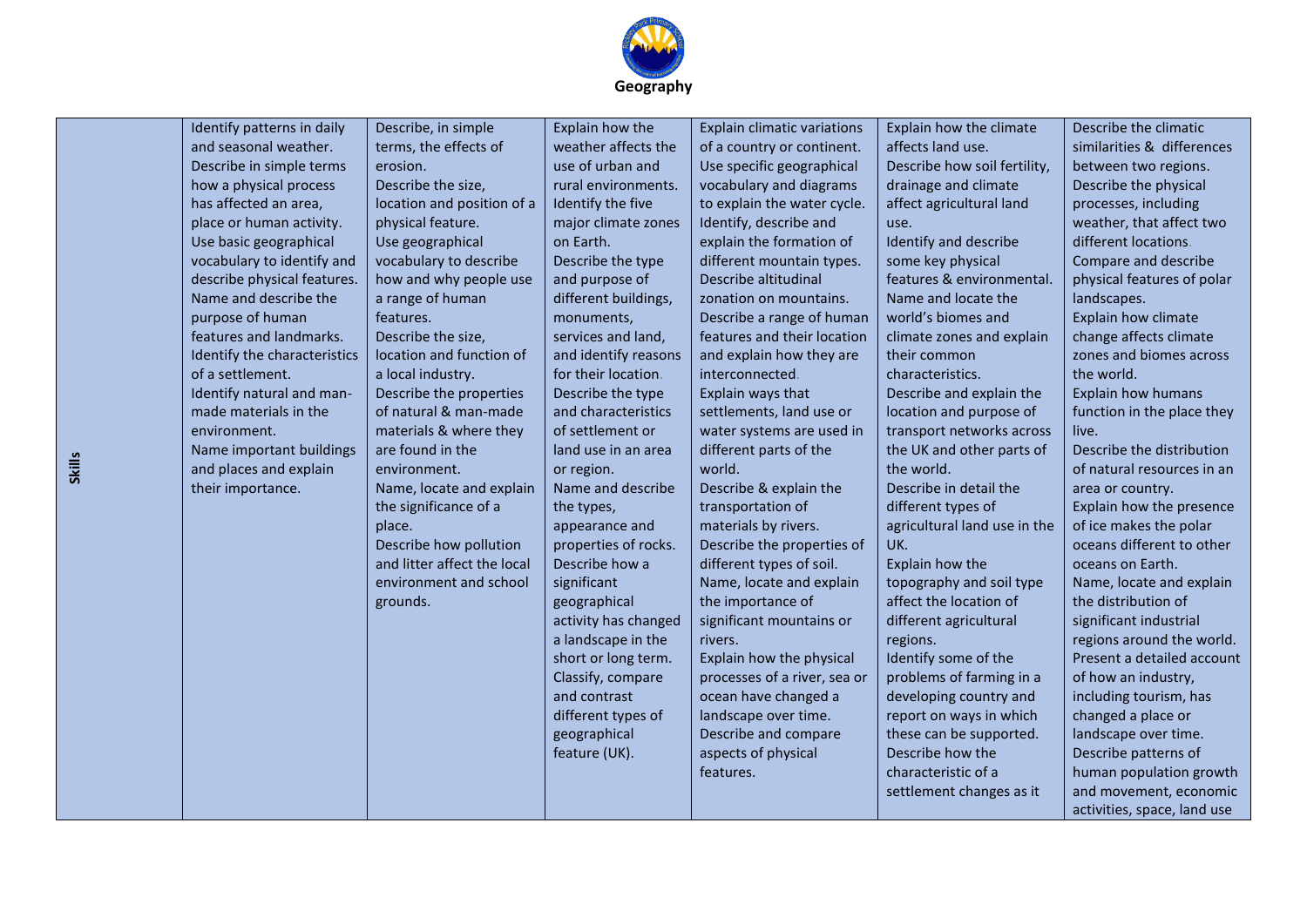

| <b>Skills</b> | Identify patterns in daily<br>and seasonal weather.<br>Describe in simple terms<br>how a physical process<br>has affected an area,<br>place or human activity.<br>Use basic geographical<br>vocabulary to identify and<br>describe physical features.<br>Name and describe the<br>purpose of human<br>features and landmarks.<br>Identify the characteristics<br>of a settlement.<br>Identify natural and man-<br>made materials in the<br>environment.<br>Name important buildings<br>and places and explain<br>their importance. | Describe, in simple<br>terms, the effects of<br>erosion.<br>Describe the size,<br>location and position of a<br>physical feature.<br>Use geographical<br>vocabulary to describe<br>how and why people use<br>a range of human<br>features.<br>Describe the size,<br>location and function of<br>a local industry.<br>Describe the properties<br>of natural & man-made<br>materials & where they<br>are found in the<br>environment.<br>Name, locate and explain<br>the significance of a<br>place.<br>Describe how pollution<br>and litter affect the local<br>environment and school<br>grounds. | Explain how the<br>weather affects the<br>use of urban and<br>rural environments.<br>Identify the five<br>major climate zones<br>on Earth.<br>Describe the type<br>and purpose of<br>different buildings,<br>monuments,<br>services and land,<br>and identify reasons<br>for their location.<br>Describe the type<br>and characteristics<br>of settlement or<br>land use in an area<br>or region.<br>Name and describe<br>the types,<br>appearance and<br>properties of rocks.<br>Describe how a<br>significant<br>geographical<br>activity has changed<br>a landscape in the<br>short or long term.<br>Classify, compare<br>and contrast<br>different types of | <b>Explain climatic variations</b><br>of a country or continent.<br>Use specific geographical<br>vocabulary and diagrams<br>to explain the water cycle.<br>Identify, describe and<br>explain the formation of<br>different mountain types.<br>Describe altitudinal<br>zonation on mountains.<br>Describe a range of human<br>features and their location<br>and explain how they are<br>interconnected.<br>Explain ways that<br>settlements, land use or<br>water systems are used in<br>different parts of the<br>world.<br>Describe & explain the<br>transportation of<br>materials by rivers.<br>Describe the properties of<br>different types of soil.<br>Name, locate and explain<br>the importance of<br>significant mountains or<br>rivers.<br>Explain how the physical<br>processes of a river, sea or<br>ocean have changed a<br>landscape over time. | Explain how the climate<br>affects land use.<br>Describe how soil fertility,<br>drainage and climate<br>affect agricultural land<br>use.<br>Identify and describe<br>some key physical<br>features & environmental.<br>Name and locate the<br>world's biomes and<br>climate zones and explain<br>their common<br>characteristics.<br>Describe and explain the<br>location and purpose of<br>transport networks across<br>the UK and other parts of<br>the world.<br>Describe in detail the<br>different types of<br>agricultural land use in the<br>UK.<br>Explain how the<br>topography and soil type<br>affect the location of<br>different agricultural<br>regions.<br>Identify some of the<br>problems of farming in a<br>developing country and<br>report on ways in which | Describe the climatic<br>similarities & differences<br>between two regions.<br>Describe the physical<br>processes, including<br>weather, that affect two<br>different locations.<br>Compare and describe<br>physical features of polar<br>landscapes.<br>Explain how climate<br>change affects climate<br>zones and biomes across<br>the world.<br>Explain how humans<br>function in the place they<br>live.<br>Describe the distribution<br>of natural resources in an<br>area or country.<br>Explain how the presence<br>of ice makes the polar<br>oceans different to other<br>oceans on Earth.<br>Name, locate and explain<br>the distribution of<br>significant industrial<br>regions around the world.<br>Present a detailed account<br>of how an industry,<br>including tourism, has<br>changed a place or |
|---------------|------------------------------------------------------------------------------------------------------------------------------------------------------------------------------------------------------------------------------------------------------------------------------------------------------------------------------------------------------------------------------------------------------------------------------------------------------------------------------------------------------------------------------------|---------------------------------------------------------------------------------------------------------------------------------------------------------------------------------------------------------------------------------------------------------------------------------------------------------------------------------------------------------------------------------------------------------------------------------------------------------------------------------------------------------------------------------------------------------------------------------------------------|-----------------------------------------------------------------------------------------------------------------------------------------------------------------------------------------------------------------------------------------------------------------------------------------------------------------------------------------------------------------------------------------------------------------------------------------------------------------------------------------------------------------------------------------------------------------------------------------------------------------------------------------------------------------|----------------------------------------------------------------------------------------------------------------------------------------------------------------------------------------------------------------------------------------------------------------------------------------------------------------------------------------------------------------------------------------------------------------------------------------------------------------------------------------------------------------------------------------------------------------------------------------------------------------------------------------------------------------------------------------------------------------------------------------------------------------------------------------------------------------------------------------------------------------|---------------------------------------------------------------------------------------------------------------------------------------------------------------------------------------------------------------------------------------------------------------------------------------------------------------------------------------------------------------------------------------------------------------------------------------------------------------------------------------------------------------------------------------------------------------------------------------------------------------------------------------------------------------------------------------------------------------------------------------------------------------------------------|-------------------------------------------------------------------------------------------------------------------------------------------------------------------------------------------------------------------------------------------------------------------------------------------------------------------------------------------------------------------------------------------------------------------------------------------------------------------------------------------------------------------------------------------------------------------------------------------------------------------------------------------------------------------------------------------------------------------------------------------------------------------------------------------------------------------|
|               |                                                                                                                                                                                                                                                                                                                                                                                                                                                                                                                                    |                                                                                                                                                                                                                                                                                                                                                                                                                                                                                                                                                                                                   | geographical<br>feature (UK).                                                                                                                                                                                                                                                                                                                                                                                                                                                                                                                                                                                                                                   | Describe and compare<br>aspects of physical<br>features.                                                                                                                                                                                                                                                                                                                                                                                                                                                                                                                                                                                                                                                                                                                                                                                                       | these can be supported.<br>Describe how the<br>characteristic of a<br>settlement changes as it                                                                                                                                                                                                                                                                                                                                                                                                                                                                                                                                                                                                                                                                                  | landscape over time.<br>Describe patterns of<br>human population growth<br>and movement, economic<br>activities, space, land use                                                                                                                                                                                                                                                                                                                                                                                                                                                                                                                                                                                                                                                                                  |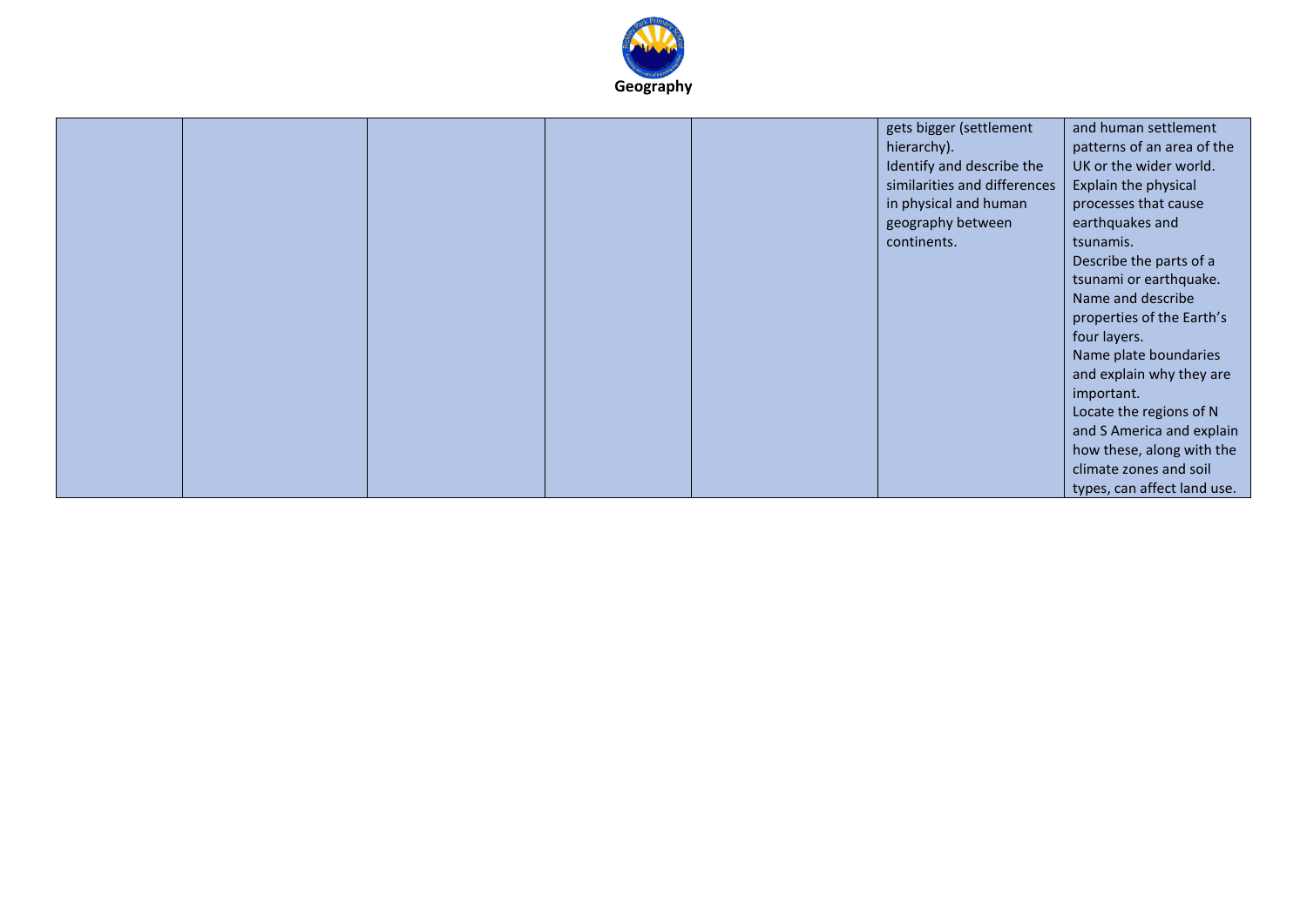

|  |  | gets bigger (settlement      | and human settlement        |
|--|--|------------------------------|-----------------------------|
|  |  | hierarchy).                  | patterns of an area of the  |
|  |  | Identify and describe the    | UK or the wider world.      |
|  |  | similarities and differences | Explain the physical        |
|  |  |                              |                             |
|  |  | in physical and human        | processes that cause        |
|  |  | geography between            | earthquakes and             |
|  |  | continents.                  | tsunamis.                   |
|  |  |                              | Describe the parts of a     |
|  |  |                              | tsunami or earthquake.      |
|  |  |                              | Name and describe           |
|  |  |                              | properties of the Earth's   |
|  |  |                              | four layers.                |
|  |  |                              | Name plate boundaries       |
|  |  |                              | and explain why they are    |
|  |  |                              | important.                  |
|  |  |                              | Locate the regions of N     |
|  |  |                              | and S America and explain   |
|  |  |                              | how these, along with the   |
|  |  |                              | climate zones and soil      |
|  |  |                              | types, can affect land use. |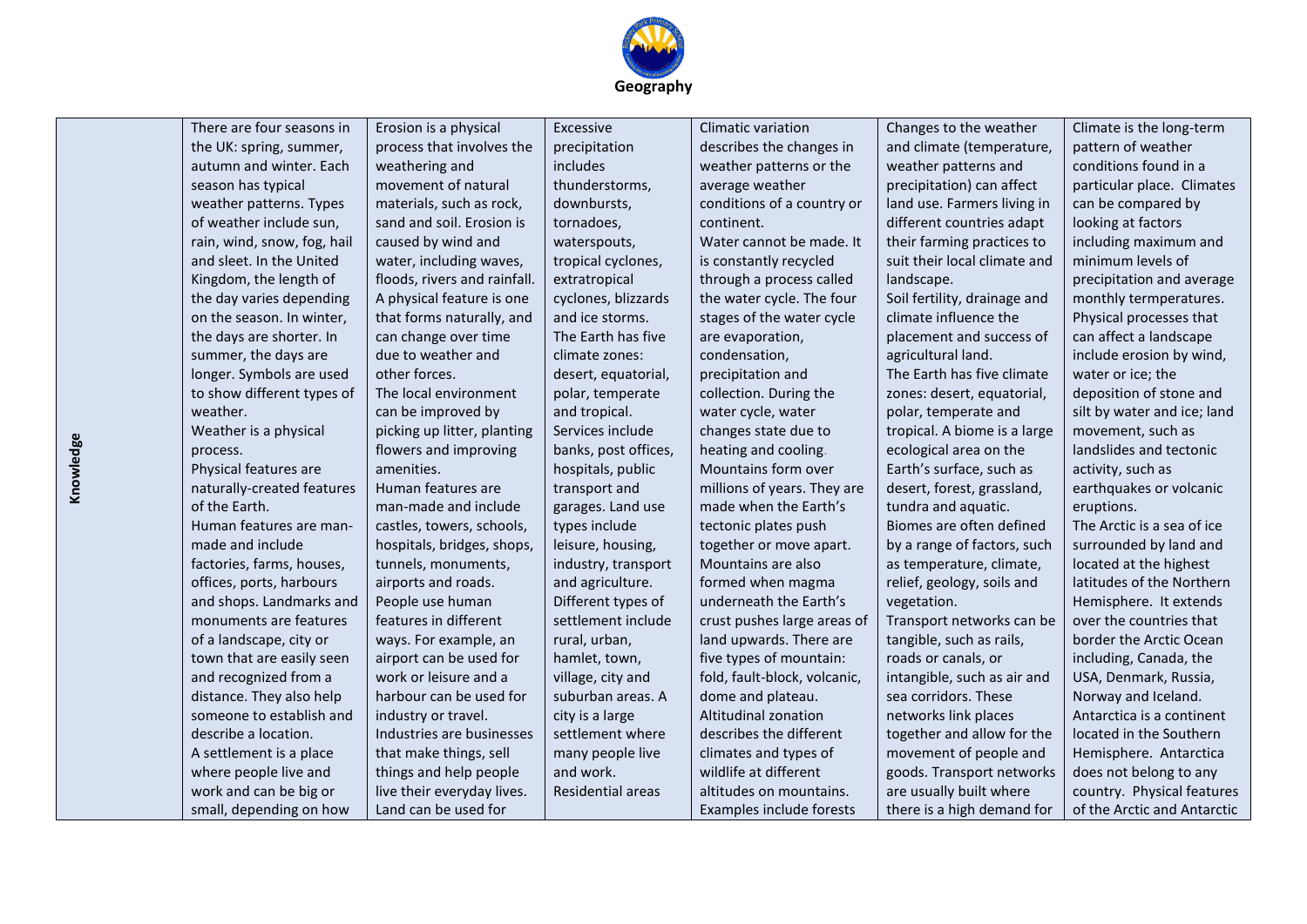

| There are four seasons in   | Erosion is a physical        | Excessive            | Climatic variation           | Changes to the weather       | Climate is the long-term    |
|-----------------------------|------------------------------|----------------------|------------------------------|------------------------------|-----------------------------|
| the UK: spring, summer,     | process that involves the    | precipitation        | describes the changes in     | and climate (temperature,    | pattern of weather          |
| autumn and winter. Each     | weathering and               | includes             | weather patterns or the      | weather patterns and         | conditions found in a       |
| season has typical          | movement of natural          | thunderstorms,       | average weather              | precipitation) can affect    | particular place. Climates  |
| weather patterns. Types     | materials, such as rock,     | downbursts,          | conditions of a country or   | land use. Farmers living in  | can be compared by          |
| of weather include sun,     | sand and soil. Erosion is    | tornadoes,           | continent.                   | different countries adapt    | looking at factors          |
| rain, wind, snow, fog, hail | caused by wind and           | waterspouts,         | Water cannot be made. It     | their farming practices to   | including maximum and       |
| and sleet. In the United    | water, including waves,      | tropical cyclones,   | is constantly recycled       | suit their local climate and | minimum levels of           |
| Kingdom, the length of      | floods, rivers and rainfall. | extratropical        | through a process called     | landscape.                   | precipitation and average   |
| the day varies depending    | A physical feature is one    | cyclones, blizzards  | the water cycle. The four    | Soil fertility, drainage and | monthly termperatures.      |
| on the season. In winter,   | that forms naturally, and    | and ice storms.      | stages of the water cycle    | climate influence the        | Physical processes that     |
| the days are shorter. In    | can change over time         | The Earth has five   | are evaporation,             | placement and success of     | can affect a landscape      |
| summer, the days are        | due to weather and           | climate zones:       | condensation,                | agricultural land.           | include erosion by wind,    |
| longer. Symbols are used    | other forces.                | desert, equatorial,  | precipitation and            | The Earth has five climate   | water or ice; the           |
| to show different types of  | The local environment        | polar, temperate     | collection. During the       | zones: desert, equatorial,   | deposition of stone and     |
| weather.                    | can be improved by           | and tropical.        | water cycle, water           | polar, temperate and         | silt by water and ice; land |
| Weather is a physical       | picking up litter, planting  | Services include     | changes state due to         | tropical. A biome is a large | movement, such as           |
| process.                    | flowers and improving        | banks, post offices, | heating and cooling.         | ecological area on the       | landslides and tectonic     |
| Physical features are       | amenities.                   | hospitals, public    | Mountains form over          | Earth's surface, such as     | activity, such as           |
| naturally-created features  | Human features are           | transport and        | millions of years. They are  | desert, forest, grassland,   | earthquakes or volcanic     |
| of the Earth.               | man-made and include         | garages. Land use    | made when the Earth's        | tundra and aquatic.          | eruptions.                  |
| Human features are man-     | castles, towers, schools,    | types include        | tectonic plates push         | Biomes are often defined     | The Arctic is a sea of ice  |
| made and include            | hospitals, bridges, shops,   | leisure, housing,    | together or move apart.      | by a range of factors, such  | surrounded by land and      |
| factories, farms, houses,   | tunnels, monuments,          | industry, transport  | Mountains are also           | as temperature, climate,     | located at the highest      |
| offices, ports, harbours    | airports and roads.          | and agriculture.     | formed when magma            | relief, geology, soils and   | latitudes of the Northern   |
| and shops. Landmarks and    | People use human             | Different types of   | underneath the Earth's       | vegetation.                  | Hemisphere. It extends      |
| monuments are features      | features in different        | settlement include   | crust pushes large areas of  | Transport networks can be    | over the countries that     |
| of a landscape, city or     | ways. For example, an        | rural, urban,        | land upwards. There are      | tangible, such as rails,     | border the Arctic Ocean     |
| town that are easily seen   | airport can be used for      | hamlet, town,        | five types of mountain:      | roads or canals, or          | including, Canada, the      |
| and recognized from a       | work or leisure and a        | village, city and    | fold, fault-block, volcanic, | intangible, such as air and  | USA, Denmark, Russia,       |
| distance. They also help    | harbour can be used for      | suburban areas. A    | dome and plateau.            | sea corridors. These         | Norway and Iceland.         |
| someone to establish and    | industry or travel.          | city is a large      | Altitudinal zonation         | networks link places         | Antarctica is a continent   |
| describe a location.        | Industries are businesses    | settlement where     | describes the different      | together and allow for the   | located in the Southern     |
| A settlement is a place     | that make things, sell       | many people live     | climates and types of        | movement of people and       | Hemisphere. Antarctica      |
| where people live and       | things and help people       | and work.            | wildlife at different        | goods. Transport networks    | does not belong to any      |
| work and can be big or      | live their everyday lives.   | Residential areas    | altitudes on mountains.      | are usually built where      | country. Physical features  |
| small, depending on how     | Land can be used for         |                      | Examples include forests     | there is a high demand for   | of the Arctic and Antarctic |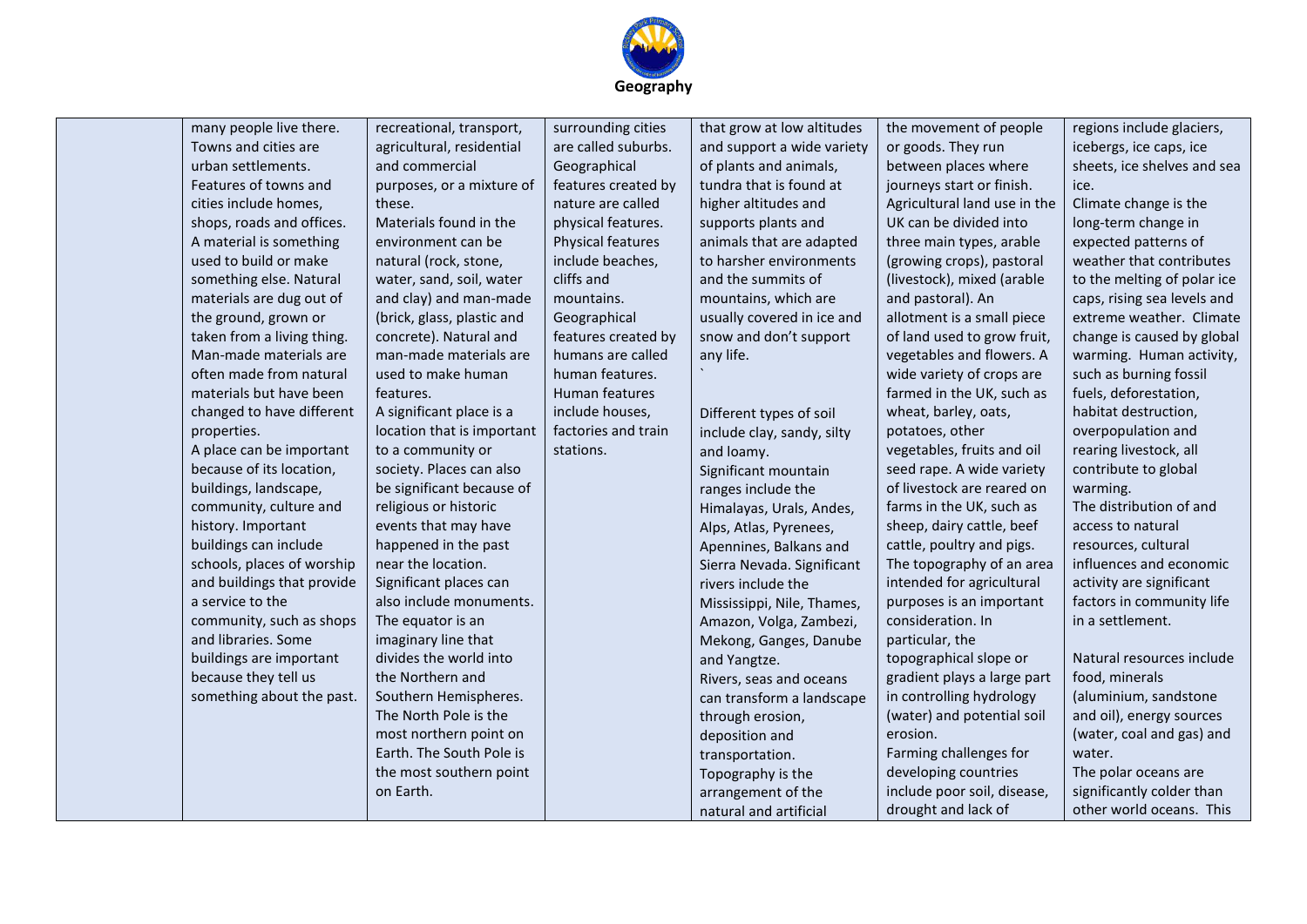

|  | many people live there.    | recreational, transport,   | surrounding cities    | that grow at low altitudes | the movement of people       | regions include glaciers,   |
|--|----------------------------|----------------------------|-----------------------|----------------------------|------------------------------|-----------------------------|
|  | Towns and cities are       | agricultural, residential  | are called suburbs.   | and support a wide variety | or goods. They run           | icebergs, ice caps, ice     |
|  | urban settlements.         | and commercial             | Geographical          | of plants and animals,     | between places where         | sheets, ice shelves and sea |
|  | Features of towns and      | purposes, or a mixture of  | features created by   | tundra that is found at    | journeys start or finish.    | ice.                        |
|  | cities include homes,      | these.                     | nature are called     | higher altitudes and       | Agricultural land use in the | Climate change is the       |
|  | shops, roads and offices.  | Materials found in the     | physical features.    | supports plants and        | UK can be divided into       | long-term change in         |
|  | A material is something    | environment can be         | Physical features     | animals that are adapted   | three main types, arable     | expected patterns of        |
|  | used to build or make      | natural (rock, stone,      | include beaches,      | to harsher environments    | (growing crops), pastoral    | weather that contributes    |
|  | something else. Natural    | water, sand, soil, water   | cliffs and            | and the summits of         | (livestock), mixed (arable   | to the melting of polar ice |
|  | materials are dug out of   | and clay) and man-made     | mountains.            | mountains, which are       | and pastoral). An            | caps, rising sea levels and |
|  | the ground, grown or       | (brick, glass, plastic and | Geographical          | usually covered in ice and | allotment is a small piece   | extreme weather. Climate    |
|  | taken from a living thing. | concrete). Natural and     | features created by   | snow and don't support     | of land used to grow fruit,  | change is caused by global  |
|  | Man-made materials are     | man-made materials are     | humans are called     | any life.                  | vegetables and flowers. A    | warming. Human activity,    |
|  | often made from natural    | used to make human         | human features.       |                            | wide variety of crops are    | such as burning fossil      |
|  | materials but have been    | features.                  | <b>Human features</b> |                            | farmed in the UK, such as    | fuels, deforestation,       |
|  | changed to have different  | A significant place is a   | include houses,       | Different types of soil    | wheat, barley, oats,         | habitat destruction,        |
|  | properties.                | location that is important | factories and train   | include clay, sandy, silty | potatoes, other              | overpopulation and          |
|  | A place can be important   | to a community or          | stations.             | and loamy.                 | vegetables, fruits and oil   | rearing livestock, all      |
|  | because of its location,   | society. Places can also   |                       | Significant mountain       | seed rape. A wide variety    | contribute to global        |
|  | buildings, landscape,      | be significant because of  |                       | ranges include the         | of livestock are reared on   | warming.                    |
|  | community, culture and     | religious or historic      |                       | Himalayas, Urals, Andes,   | farms in the UK, such as     | The distribution of and     |
|  | history. Important         | events that may have       |                       | Alps, Atlas, Pyrenees,     | sheep, dairy cattle, beef    | access to natural           |
|  | buildings can include      | happened in the past       |                       | Apennines, Balkans and     | cattle, poultry and pigs.    | resources, cultural         |
|  | schools, places of worship | near the location.         |                       | Sierra Nevada. Significant | The topography of an area    | influences and economic     |
|  | and buildings that provide | Significant places can     |                       | rivers include the         | intended for agricultural    | activity are significant    |
|  | a service to the           | also include monuments.    |                       | Mississippi, Nile, Thames, | purposes is an important     | factors in community life   |
|  | community, such as shops   | The equator is an          |                       | Amazon, Volga, Zambezi,    | consideration. In            | in a settlement.            |
|  | and libraries. Some        | imaginary line that        |                       | Mekong, Ganges, Danube     | particular, the              |                             |
|  | buildings are important    | divides the world into     |                       | and Yangtze.               | topographical slope or       | Natural resources include   |
|  | because they tell us       | the Northern and           |                       | Rivers, seas and oceans    | gradient plays a large part  | food, minerals              |
|  | something about the past.  | Southern Hemispheres.      |                       | can transform a landscape  | in controlling hydrology     | (aluminium, sandstone       |
|  |                            | The North Pole is the      |                       | through erosion,           | (water) and potential soil   | and oil), energy sources    |
|  |                            | most northern point on     |                       | deposition and             | erosion.                     | (water, coal and gas) and   |
|  |                            | Earth. The South Pole is   |                       | transportation.            | Farming challenges for       | water.                      |
|  |                            | the most southern point    |                       | Topography is the          | developing countries         | The polar oceans are        |
|  |                            | on Earth.                  |                       | arrangement of the         | include poor soil, disease,  | significantly colder than   |
|  |                            |                            |                       | natural and artificial     | drought and lack of          | other world oceans. This    |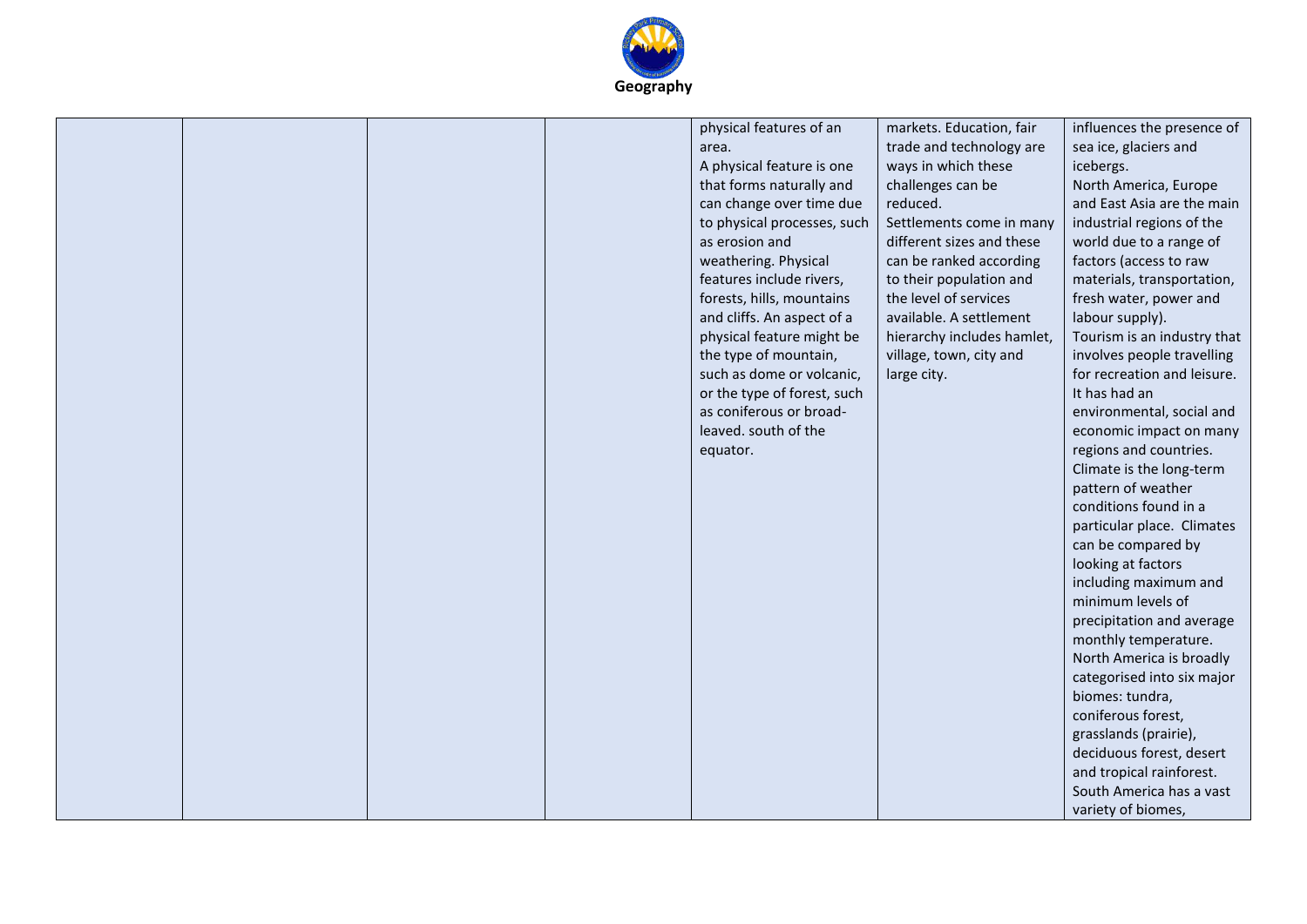

|  |  | physical features of an<br>area.<br>A physical feature is one<br>that forms naturally and<br>can change over time due<br>to physical processes, such<br>as erosion and<br>weathering. Physical<br>features include rivers,<br>forests, hills, mountains<br>and cliffs. An aspect of a<br>physical feature might be<br>the type of mountain,<br>such as dome or volcanic,<br>or the type of forest, such<br>as coniferous or broad-<br>leaved. south of the<br>equator. | markets. Education, fair<br>trade and technology are<br>ways in which these<br>challenges can be<br>reduced.<br>Settlements come in many<br>different sizes and these<br>can be ranked according<br>to their population and<br>the level of services<br>available. A settlement<br>hierarchy includes hamlet,<br>village, town, city and<br>large city. | influences the presence of<br>sea ice, glaciers and<br>icebergs.<br>North America, Europe<br>and East Asia are the main<br>industrial regions of the<br>world due to a range of<br>factors (access to raw<br>materials, transportation,<br>fresh water, power and<br>labour supply).<br>Tourism is an industry that<br>involves people travelling<br>for recreation and leisure.<br>It has had an<br>environmental, social and<br>economic impact on many<br>regions and countries.<br>Climate is the long-term<br>pattern of weather<br>conditions found in a<br>particular place. Climates<br>can be compared by<br>looking at factors<br>including maximum and<br>minimum levels of<br>precipitation and average<br>monthly temperature.<br>North America is broadly<br>categorised into six major<br>biomes: tundra,<br>coniferous forest,<br>grasslands (prairie),<br>deciduous forest, desert<br>and tropical rainforest.<br>South America has a vast<br>variety of biomes, |
|--|--|------------------------------------------------------------------------------------------------------------------------------------------------------------------------------------------------------------------------------------------------------------------------------------------------------------------------------------------------------------------------------------------------------------------------------------------------------------------------|---------------------------------------------------------------------------------------------------------------------------------------------------------------------------------------------------------------------------------------------------------------------------------------------------------------------------------------------------------|-----------------------------------------------------------------------------------------------------------------------------------------------------------------------------------------------------------------------------------------------------------------------------------------------------------------------------------------------------------------------------------------------------------------------------------------------------------------------------------------------------------------------------------------------------------------------------------------------------------------------------------------------------------------------------------------------------------------------------------------------------------------------------------------------------------------------------------------------------------------------------------------------------------------------------------------------------------------------------------|
|--|--|------------------------------------------------------------------------------------------------------------------------------------------------------------------------------------------------------------------------------------------------------------------------------------------------------------------------------------------------------------------------------------------------------------------------------------------------------------------------|---------------------------------------------------------------------------------------------------------------------------------------------------------------------------------------------------------------------------------------------------------------------------------------------------------------------------------------------------------|-----------------------------------------------------------------------------------------------------------------------------------------------------------------------------------------------------------------------------------------------------------------------------------------------------------------------------------------------------------------------------------------------------------------------------------------------------------------------------------------------------------------------------------------------------------------------------------------------------------------------------------------------------------------------------------------------------------------------------------------------------------------------------------------------------------------------------------------------------------------------------------------------------------------------------------------------------------------------------------|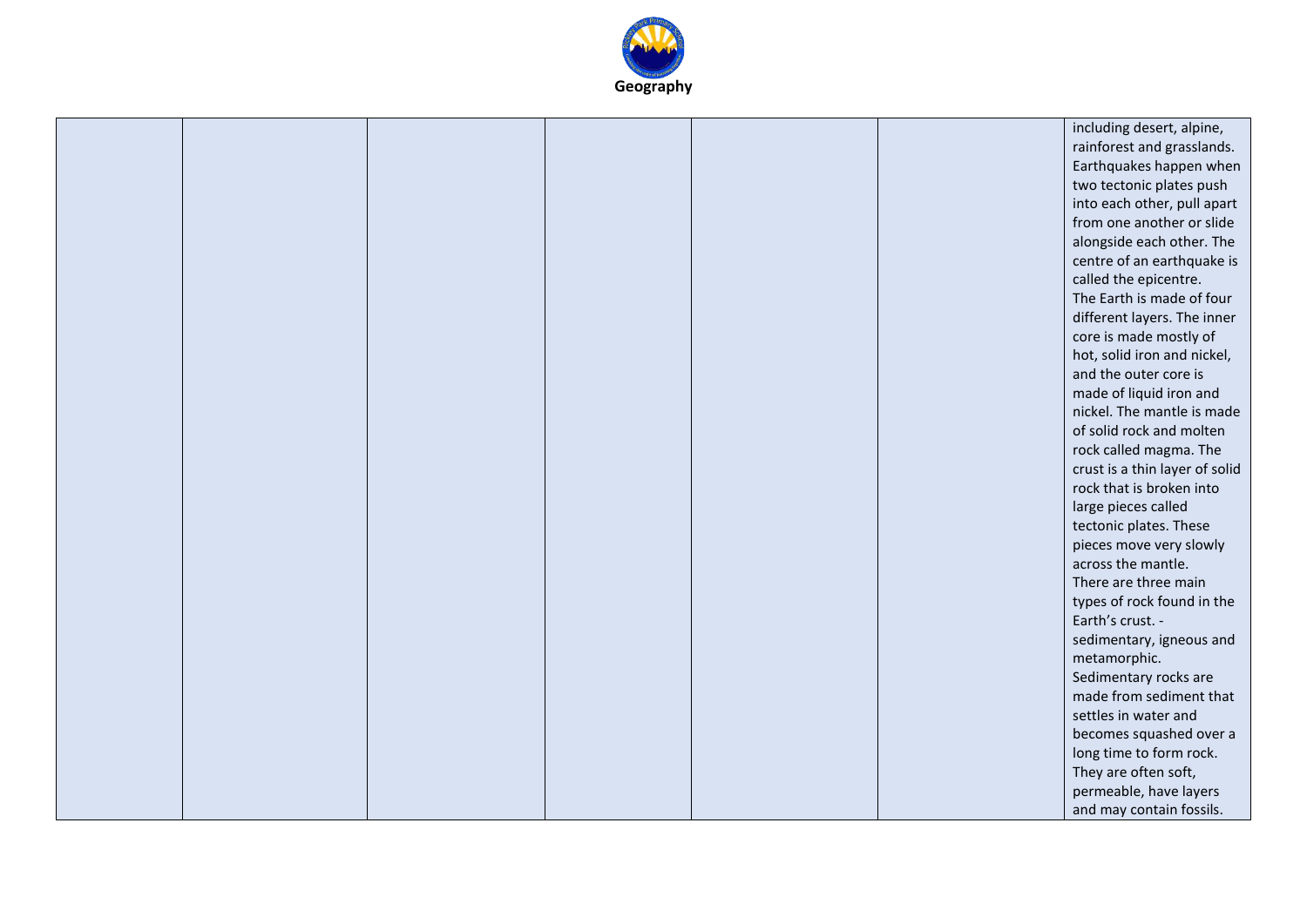

|  |  |  | including desert, alpine,      |
|--|--|--|--------------------------------|
|  |  |  | rainforest and grasslands.     |
|  |  |  | Earthquakes happen when        |
|  |  |  | two tectonic plates push       |
|  |  |  | into each other, pull apart    |
|  |  |  | from one another or slide      |
|  |  |  | alongside each other. The      |
|  |  |  |                                |
|  |  |  | centre of an earthquake is     |
|  |  |  | called the epicentre.          |
|  |  |  | The Earth is made of four      |
|  |  |  | different layers. The inner    |
|  |  |  | core is made mostly of         |
|  |  |  | hot, solid iron and nickel,    |
|  |  |  | and the outer core is          |
|  |  |  | made of liquid iron and        |
|  |  |  | nickel. The mantle is made     |
|  |  |  | of solid rock and molten       |
|  |  |  | rock called magma. The         |
|  |  |  | crust is a thin layer of solid |
|  |  |  | rock that is broken into       |
|  |  |  | large pieces called            |
|  |  |  | tectonic plates. These         |
|  |  |  | pieces move very slowly        |
|  |  |  | across the mantle.             |
|  |  |  | There are three main           |
|  |  |  | types of rock found in the     |
|  |  |  | Earth's crust. -               |
|  |  |  | sedimentary, igneous and       |
|  |  |  | metamorphic.                   |
|  |  |  | Sedimentary rocks are          |
|  |  |  | made from sediment that        |
|  |  |  | settles in water and           |
|  |  |  | becomes squashed over a        |
|  |  |  | long time to form rock.        |
|  |  |  | They are often soft,           |
|  |  |  | permeable, have layers         |
|  |  |  | and may contain fossils.       |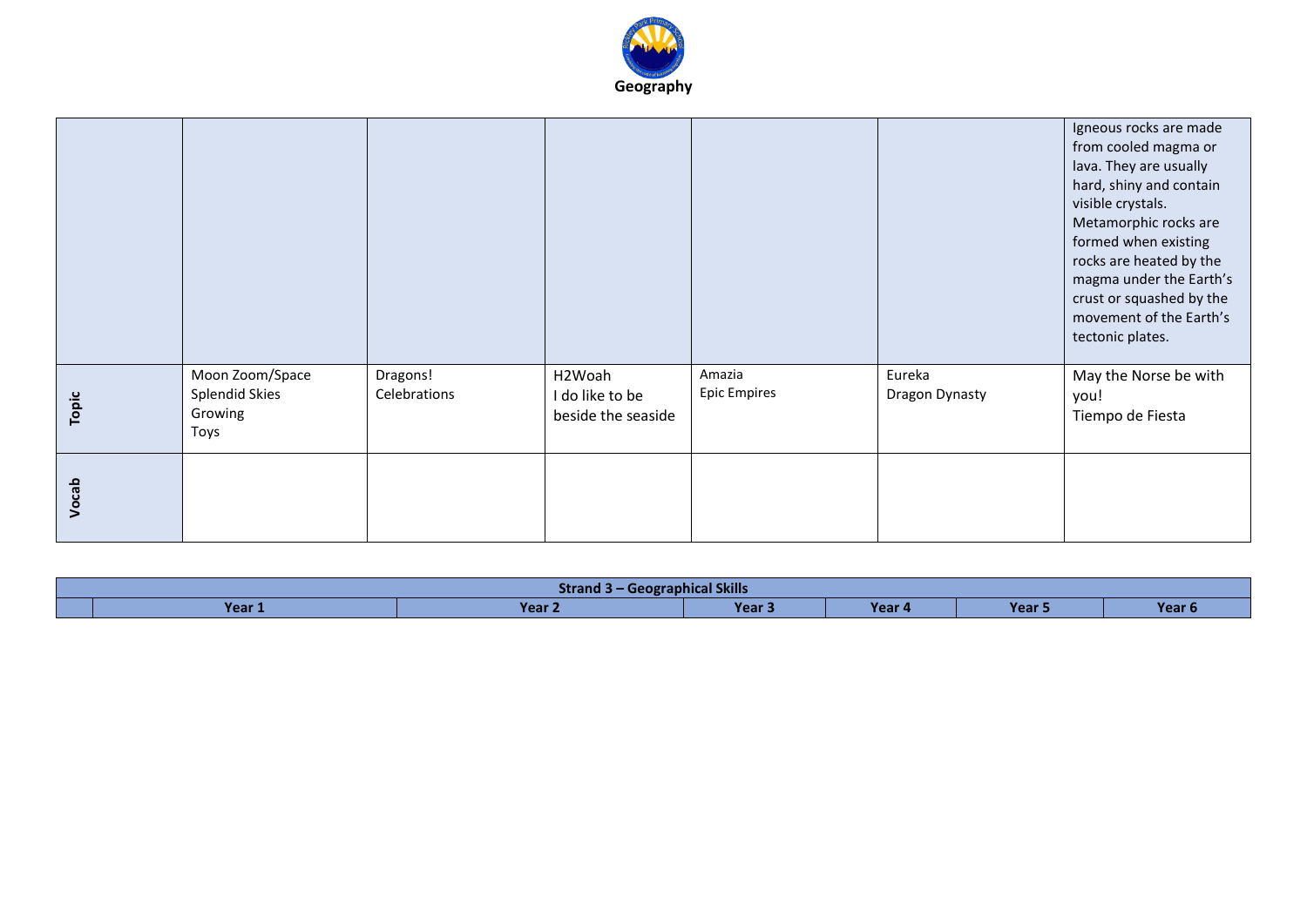

|       |                                                      |                          |                                                 |                               |                          | Igneous rocks are made<br>from cooled magma or<br>lava. They are usually<br>hard, shiny and contain<br>visible crystals.<br>Metamorphic rocks are<br>formed when existing<br>rocks are heated by the<br>magma under the Earth's<br>crust or squashed by the<br>movement of the Earth's<br>tectonic plates. |
|-------|------------------------------------------------------|--------------------------|-------------------------------------------------|-------------------------------|--------------------------|------------------------------------------------------------------------------------------------------------------------------------------------------------------------------------------------------------------------------------------------------------------------------------------------------------|
| Topic | Moon Zoom/Space<br>Splendid Skies<br>Growing<br>Toys | Dragons!<br>Celebrations | H2Woah<br>I do like to be<br>beside the seaside | Amazia<br><b>Epic Empires</b> | Eureka<br>Dragon Dynasty | May the Norse be with<br>you!<br>Tiempo de Fiesta                                                                                                                                                                                                                                                          |
| Vocab |                                                      |                          |                                                 |                               |                          |                                                                                                                                                                                                                                                                                                            |

| - Geographical Skills<br><b>Strand</b> |                                 |             |                                                                                                                                 |        |        |  |  |
|----------------------------------------|---------------------------------|-------------|---------------------------------------------------------------------------------------------------------------------------------|--------|--------|--|--|
| Year .                                 | Vo <sub>2</sub><br><b>TEGLY</b> | <b>Year</b> | <b>Contract Contract Contract Contract Contract Contract Contract Contract Contract Contract Contract Contract Co</b><br>Year 4 | Year 5 | Year L |  |  |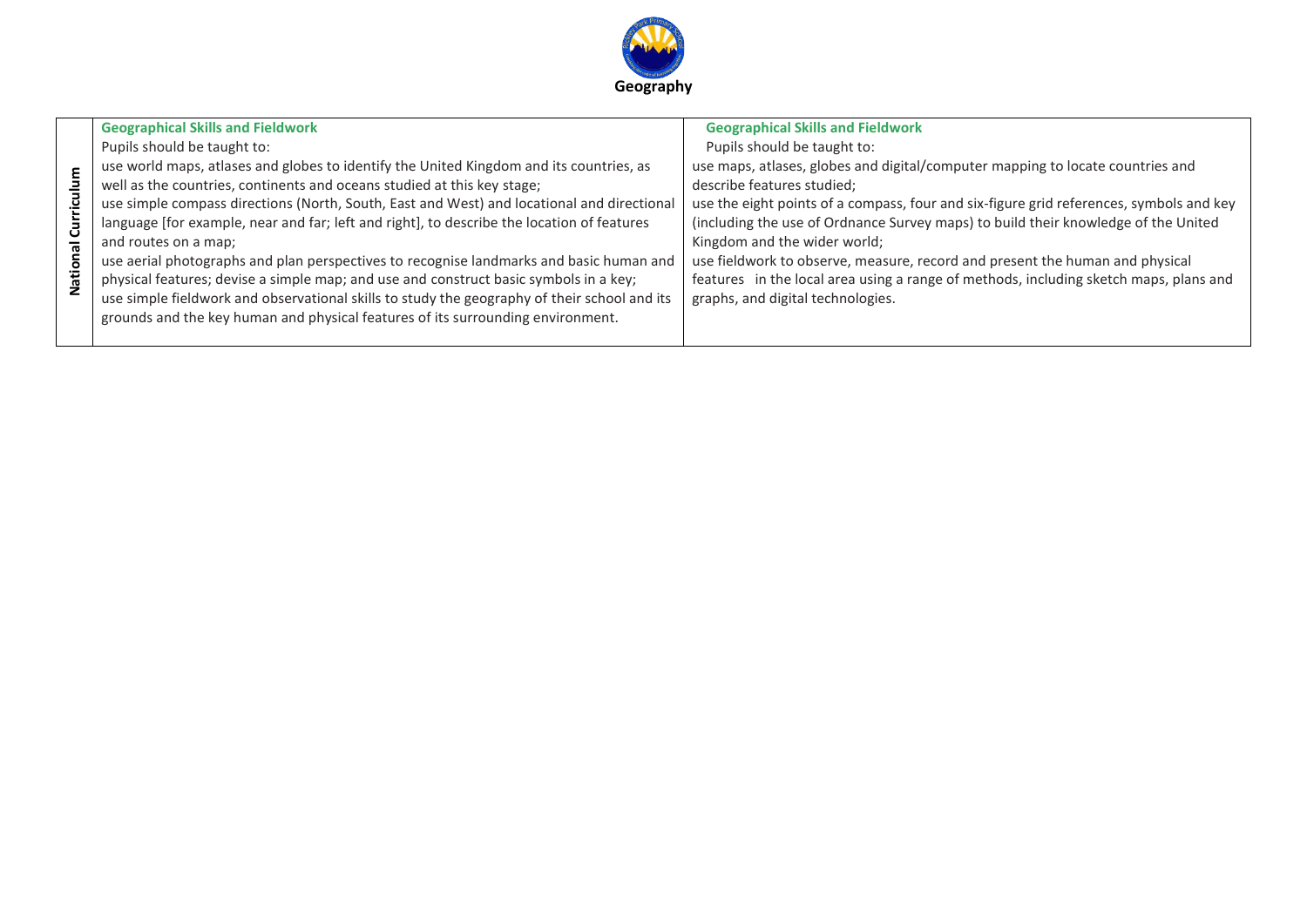

| ulum<br>Ë<br>ā<br>ಸ<br><u>ō</u> | <b>Geographical Skills and Fieldwork</b><br>Pupils should be taught to:<br>use world maps, atlases and globes to identify the United Kingdom and its countries, as<br>well as the countries, continents and oceans studied at this key stage;<br>use simple compass directions (North, South, East and West) and locational and directional<br>language [for example, near and far; left and right], to describe the location of features<br>and routes on a map;<br>use aerial photographs and plan perspectives to recognise landmarks and basic human and<br>physical features; devise a simple map; and use and construct basic symbols in a key; | <b>Geographical Skills and Fieldwork</b><br>Pupils should be taught to:<br>use maps, atlases, globes and digital/computer mapping to locate countries and<br>describe features studied;<br>use the eight points of a compass, four and six-figure grid references, symbols and key<br>(including the use of Ordnance Survey maps) to build their knowledge of the United<br>Kingdom and the wider world;<br>use fieldwork to observe, measure, record and present the human and physical<br>features in the local area using a range of methods, including sketch maps, plans and |
|---------------------------------|-------------------------------------------------------------------------------------------------------------------------------------------------------------------------------------------------------------------------------------------------------------------------------------------------------------------------------------------------------------------------------------------------------------------------------------------------------------------------------------------------------------------------------------------------------------------------------------------------------------------------------------------------------|-----------------------------------------------------------------------------------------------------------------------------------------------------------------------------------------------------------------------------------------------------------------------------------------------------------------------------------------------------------------------------------------------------------------------------------------------------------------------------------------------------------------------------------------------------------------------------------|
| ہ<br>2                          | use simple fieldwork and observational skills to study the geography of their school and its<br>grounds and the key human and physical features of its surrounding environment.                                                                                                                                                                                                                                                                                                                                                                                                                                                                       | graphs, and digital technologies.                                                                                                                                                                                                                                                                                                                                                                                                                                                                                                                                                 |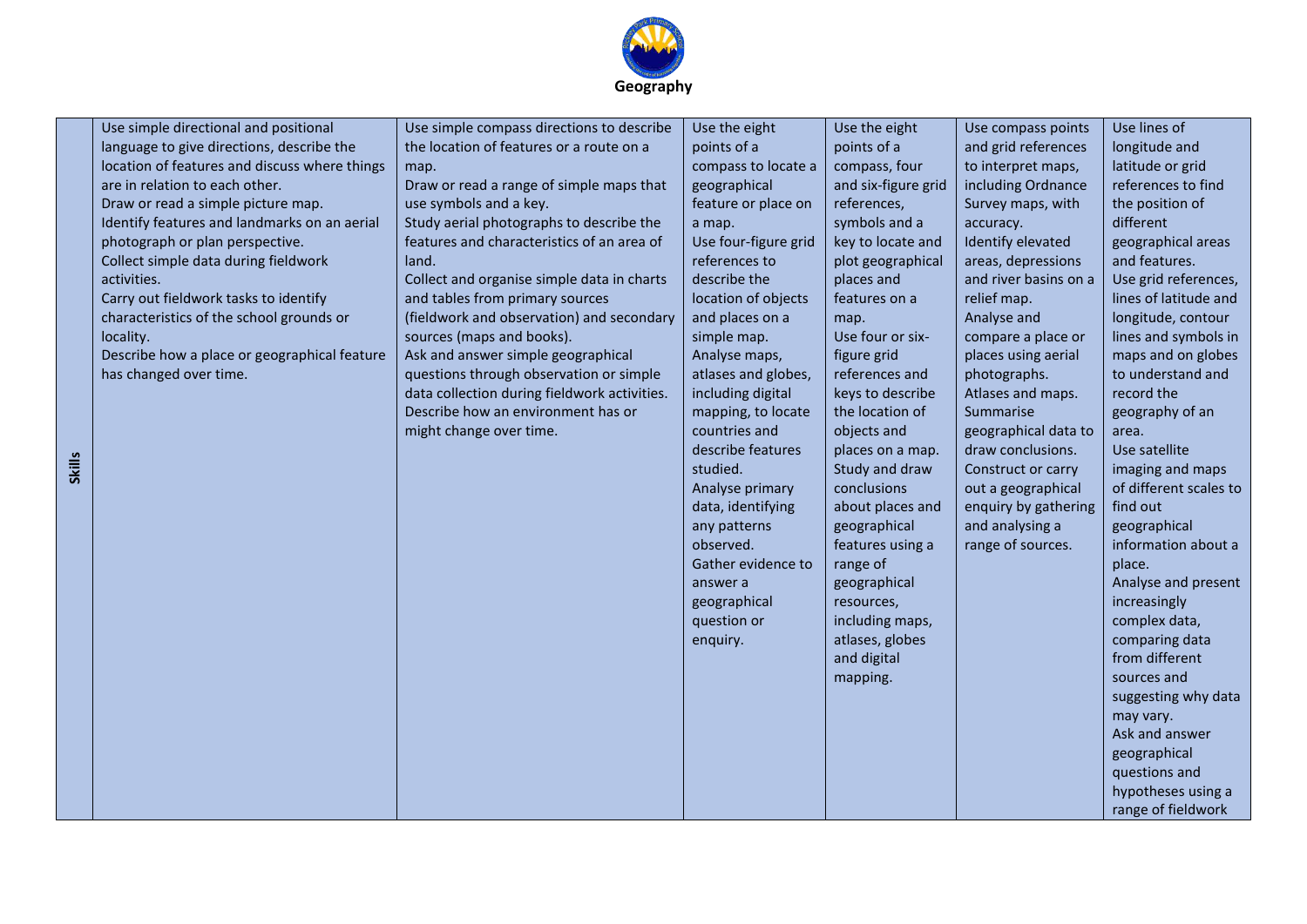

| Use simple directional and positional<br>language to give directions, describe the<br>location of features and discuss where things<br>are in relation to each other.<br>Draw or read a simple picture map.<br>Identify features and landmarks on an aerial<br>photograph or plan perspective.<br>Collect simple data during fieldwork<br>activities.<br>Carry out fieldwork tasks to identify<br>characteristics of the school grounds or<br>locality.<br>Describe how a place or geographical feature<br>has changed over time. | Use simple compass directions to describe<br>the location of features or a route on a<br>map.<br>Draw or read a range of simple maps that<br>use symbols and a key.<br>Study aerial photographs to describe the<br>features and characteristics of an area of<br>land.<br>Collect and organise simple data in charts<br>and tables from primary sources<br>(fieldwork and observation) and secondary<br>sources (maps and books).<br>Ask and answer simple geographical<br>questions through observation or simple<br>data collection during fieldwork activities.<br>Describe how an environment has or<br>might change over time. | Use the eight<br>points of a<br>compass to locate a<br>geographical<br>feature or place on<br>a map.<br>Use four-figure grid<br>references to<br>describe the<br>location of objects<br>and places on a<br>simple map.<br>Analyse maps,<br>atlases and globes,<br>including digital<br>mapping, to locate<br>countries and<br>describe features<br>studied.<br>Analyse primary<br>data, identifying<br>any patterns<br>observed.<br>Gather evidence to<br>answer a<br>geographical<br>question or | Use the eight<br>points of a<br>compass, four<br>and six-figure grid<br>references,<br>symbols and a<br>key to locate and<br>plot geographical<br>places and<br>features on a<br>map.<br>Use four or six-<br>figure grid<br>references and<br>keys to describe<br>the location of<br>objects and<br>places on a map.<br>Study and draw<br>conclusions<br>about places and<br>geographical<br>features using a<br>range of<br>geographical<br>resources,<br>including maps, | Use compass points<br>and grid references<br>to interpret maps,<br>including Ordnance<br>Survey maps, with<br>accuracy.<br>Identify elevated<br>areas, depressions<br>and river basins on a<br>relief map.<br>Analyse and<br>compare a place or<br>places using aerial<br>photographs.<br>Atlases and maps.<br>Summarise<br>geographical data to<br>draw conclusions.<br>Construct or carry<br>out a geographical<br>enquiry by gathering<br>and analysing a<br>range of sources. | Use lines of<br>longitude and<br>latitude or grid<br>references to find<br>the position of<br>different<br>geographical areas<br>and features.<br>Use grid references,<br>lines of latitude and<br>longitude, contour<br>lines and symbols in<br>maps and on globes<br>to understand and<br>record the<br>geography of an<br>area.<br>Use satellite<br>imaging and maps<br>of different scales to<br>find out<br>geographical<br>information about a<br>place.<br>Analyse and present<br>increasingly<br>complex data, |
|-----------------------------------------------------------------------------------------------------------------------------------------------------------------------------------------------------------------------------------------------------------------------------------------------------------------------------------------------------------------------------------------------------------------------------------------------------------------------------------------------------------------------------------|-------------------------------------------------------------------------------------------------------------------------------------------------------------------------------------------------------------------------------------------------------------------------------------------------------------------------------------------------------------------------------------------------------------------------------------------------------------------------------------------------------------------------------------------------------------------------------------------------------------------------------------|---------------------------------------------------------------------------------------------------------------------------------------------------------------------------------------------------------------------------------------------------------------------------------------------------------------------------------------------------------------------------------------------------------------------------------------------------------------------------------------------------|----------------------------------------------------------------------------------------------------------------------------------------------------------------------------------------------------------------------------------------------------------------------------------------------------------------------------------------------------------------------------------------------------------------------------------------------------------------------------|-----------------------------------------------------------------------------------------------------------------------------------------------------------------------------------------------------------------------------------------------------------------------------------------------------------------------------------------------------------------------------------------------------------------------------------------------------------------------------------|------------------------------------------------------------------------------------------------------------------------------------------------------------------------------------------------------------------------------------------------------------------------------------------------------------------------------------------------------------------------------------------------------------------------------------------------------------------------------------------------------------------------|
|                                                                                                                                                                                                                                                                                                                                                                                                                                                                                                                                   |                                                                                                                                                                                                                                                                                                                                                                                                                                                                                                                                                                                                                                     | enquiry.                                                                                                                                                                                                                                                                                                                                                                                                                                                                                          | atlases, globes<br>and digital<br>mapping.                                                                                                                                                                                                                                                                                                                                                                                                                                 |                                                                                                                                                                                                                                                                                                                                                                                                                                                                                   | comparing data<br>from different<br>sources and<br>suggesting why data<br>may vary.<br>Ask and answer                                                                                                                                                                                                                                                                                                                                                                                                                  |
|                                                                                                                                                                                                                                                                                                                                                                                                                                                                                                                                   |                                                                                                                                                                                                                                                                                                                                                                                                                                                                                                                                                                                                                                     |                                                                                                                                                                                                                                                                                                                                                                                                                                                                                                   |                                                                                                                                                                                                                                                                                                                                                                                                                                                                            |                                                                                                                                                                                                                                                                                                                                                                                                                                                                                   | geographical<br>questions and<br>hypotheses using a<br>range of fieldwork                                                                                                                                                                                                                                                                                                                                                                                                                                              |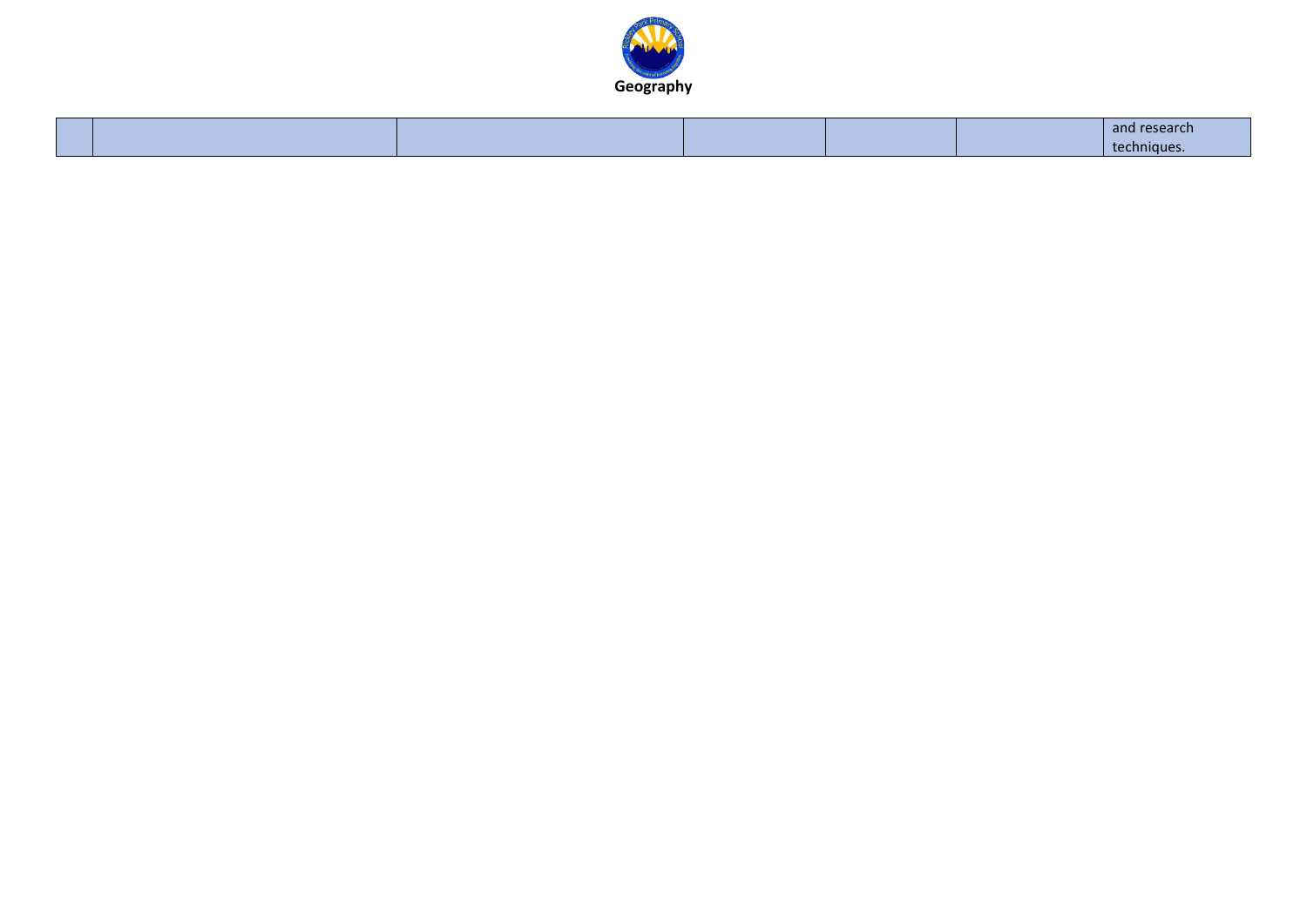

|  |  |  | 83 J.A |
|--|--|--|--------|
|  |  |  | nnique |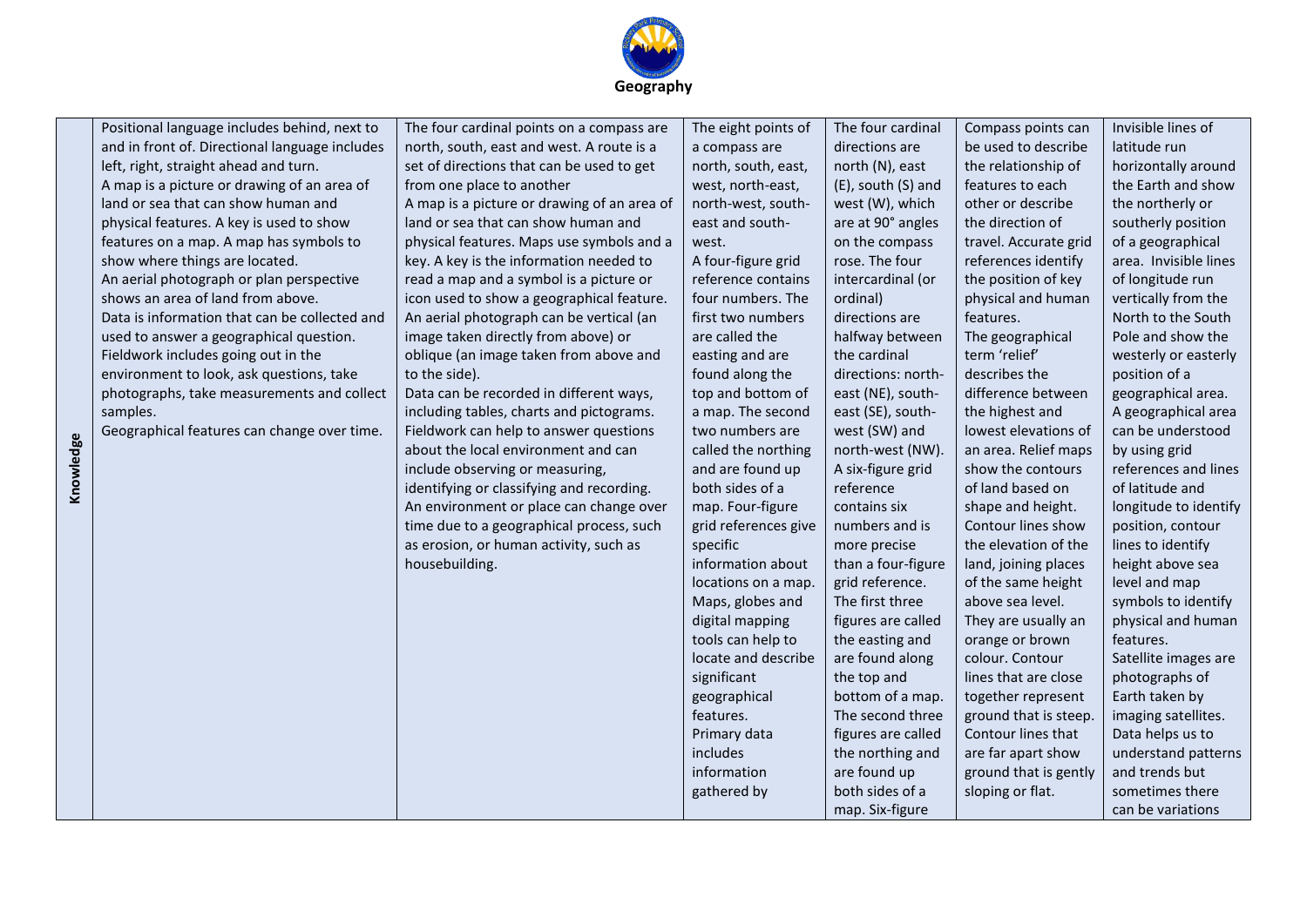

|           | Positional language includes behind, next to   | The four cardinal points on a compass are   | The eight points of  | The four cardinal  | Compass points can    | Invisible lines of    |
|-----------|------------------------------------------------|---------------------------------------------|----------------------|--------------------|-----------------------|-----------------------|
|           | and in front of. Directional language includes | north, south, east and west. A route is a   | a compass are        | directions are     | be used to describe   | latitude run          |
|           | left, right, straight ahead and turn.          | set of directions that can be used to get   | north, south, east,  | north (N), east    | the relationship of   | horizontally around   |
|           | A map is a picture or drawing of an area of    | from one place to another                   | west, north-east,    | (E), south (S) and | features to each      | the Earth and show    |
|           | land or sea that can show human and            | A map is a picture or drawing of an area of | north-west, south-   | west (W), which    | other or describe     | the northerly or      |
|           | physical features. A key is used to show       | land or sea that can show human and         | east and south-      | are at 90° angles  | the direction of      | southerly position    |
|           | features on a map. A map has symbols to        | physical features. Maps use symbols and a   | west.                | on the compass     | travel. Accurate grid | of a geographical     |
|           | show where things are located.                 | key. A key is the information needed to     | A four-figure grid   | rose. The four     | references identify   | area. Invisible lines |
|           | An aerial photograph or plan perspective       | read a map and a symbol is a picture or     | reference contains   | intercardinal (or  | the position of key   | of longitude run      |
|           | shows an area of land from above.              | icon used to show a geographical feature.   | four numbers. The    | ordinal)           | physical and human    | vertically from the   |
|           | Data is information that can be collected and  | An aerial photograph can be vertical (an    | first two numbers    | directions are     | features.             | North to the South    |
|           | used to answer a geographical question.        | image taken directly from above) or         | are called the       | halfway between    | The geographical      | Pole and show the     |
|           | Fieldwork includes going out in the            | oblique (an image taken from above and      | easting and are      | the cardinal       | term 'relief'         | westerly or easterly  |
|           | environment to look, ask questions, take       | to the side).                               | found along the      | directions: north- | describes the         | position of a         |
|           | photographs, take measurements and collect     | Data can be recorded in different ways,     | top and bottom of    | east (NE), south-  | difference between    | geographical area.    |
|           | samples.                                       | including tables, charts and pictograms.    | a map. The second    | east (SE), south-  | the highest and       | A geographical area   |
|           | Geographical features can change over time.    | Fieldwork can help to answer questions      | two numbers are      | west (SW) and      | lowest elevations of  | can be understood     |
|           |                                                | about the local environment and can         | called the northing  | north-west (NW).   | an area. Relief maps  | by using grid         |
| Knowledge |                                                | include observing or measuring,             | and are found up     | A six-figure grid  | show the contours     | references and lines  |
|           |                                                | identifying or classifying and recording.   | both sides of a      | reference          | of land based on      | of latitude and       |
|           |                                                | An environment or place can change over     | map. Four-figure     | contains six       | shape and height.     | longitude to identify |
|           |                                                | time due to a geographical process, such    | grid references give | numbers and is     | Contour lines show    | position, contour     |
|           |                                                | as erosion, or human activity, such as      | specific             | more precise       | the elevation of the  | lines to identify     |
|           |                                                | housebuilding.                              | information about    | than a four-figure | land, joining places  | height above sea      |
|           |                                                |                                             | locations on a map.  | grid reference.    | of the same height    | level and map         |
|           |                                                |                                             | Maps, globes and     | The first three    | above sea level.      | symbols to identify   |
|           |                                                |                                             | digital mapping      | figures are called | They are usually an   | physical and human    |
|           |                                                |                                             | tools can help to    | the easting and    | orange or brown       | features.             |
|           |                                                |                                             | locate and describe  | are found along    | colour. Contour       | Satellite images are  |
|           |                                                |                                             | significant          | the top and        | lines that are close  | photographs of        |
|           |                                                |                                             | geographical         | bottom of a map.   | together represent    | Earth taken by        |
|           |                                                |                                             | features.            | The second three   | ground that is steep. | imaging satellites.   |
|           |                                                |                                             | Primary data         | figures are called | Contour lines that    | Data helps us to      |
|           |                                                |                                             | includes             | the northing and   | are far apart show    | understand patterns   |
|           |                                                |                                             | information          | are found up       | ground that is gently | and trends but        |
|           |                                                |                                             | gathered by          | both sides of a    | sloping or flat.      | sometimes there       |
|           |                                                |                                             |                      | map. Six-figure    |                       | can be variations     |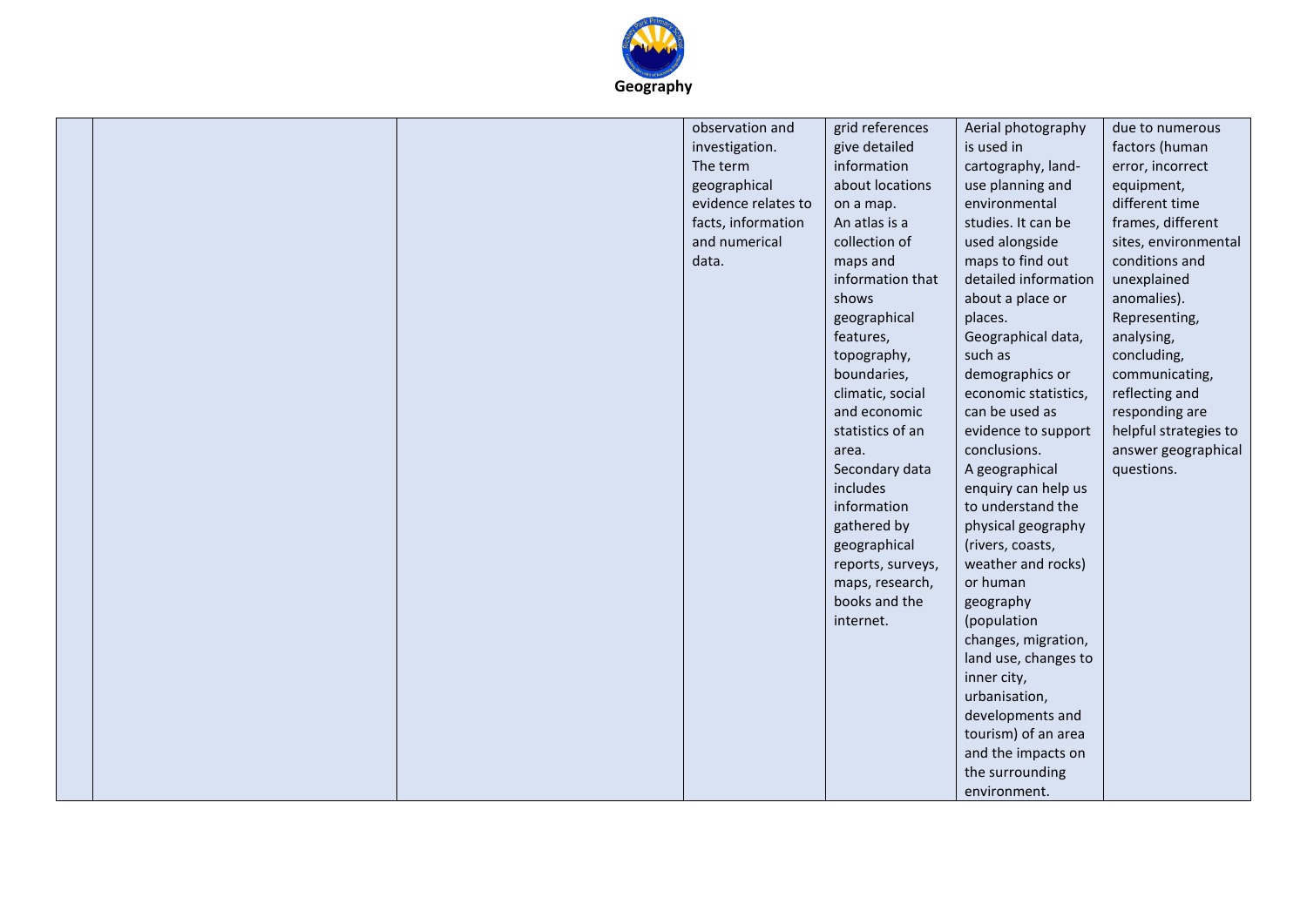

|  | observation and     | grid references   | Aerial photography   | due to numerous       |
|--|---------------------|-------------------|----------------------|-----------------------|
|  | investigation.      | give detailed     | is used in           | factors (human        |
|  | The term            | information       | cartography, land-   | error, incorrect      |
|  |                     | about locations   |                      |                       |
|  | geographical        |                   | use planning and     | equipment,            |
|  | evidence relates to | on a map.         | environmental        | different time        |
|  | facts, information  | An atlas is a     | studies. It can be   | frames, different     |
|  | and numerical       | collection of     | used alongside       | sites, environmental  |
|  | data.               | maps and          | maps to find out     | conditions and        |
|  |                     | information that  | detailed information | unexplained           |
|  |                     | shows             | about a place or     | anomalies).           |
|  |                     | geographical      | places.              | Representing,         |
|  |                     | features,         | Geographical data,   | analysing,            |
|  |                     | topography,       | such as              | concluding,           |
|  |                     | boundaries,       | demographics or      | communicating,        |
|  |                     | climatic, social  | economic statistics, | reflecting and        |
|  |                     | and economic      | can be used as       | responding are        |
|  |                     | statistics of an  | evidence to support  | helpful strategies to |
|  |                     | area.             | conclusions.         | answer geographical   |
|  |                     | Secondary data    | A geographical       | questions.            |
|  |                     | includes          | enquiry can help us  |                       |
|  |                     | information       | to understand the    |                       |
|  |                     | gathered by       | physical geography   |                       |
|  |                     | geographical      | (rivers, coasts,     |                       |
|  |                     | reports, surveys, | weather and rocks)   |                       |
|  |                     | maps, research,   | or human             |                       |
|  |                     | books and the     |                      |                       |
|  |                     | internet.         | geography            |                       |
|  |                     |                   | (population          |                       |
|  |                     |                   | changes, migration,  |                       |
|  |                     |                   | land use, changes to |                       |
|  |                     |                   | inner city,          |                       |
|  |                     |                   | urbanisation,        |                       |
|  |                     |                   | developments and     |                       |
|  |                     |                   | tourism) of an area  |                       |
|  |                     |                   | and the impacts on   |                       |
|  |                     |                   | the surrounding      |                       |
|  |                     |                   | environment.         |                       |